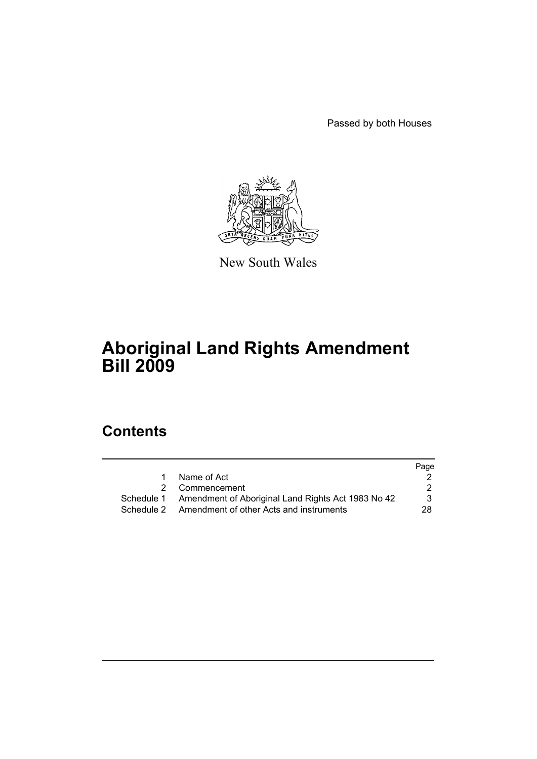Passed by both Houses



New South Wales

# **Aboriginal Land Rights Amendment Bill 2009**

# **Contents**

|   |                                                               | Page |
|---|---------------------------------------------------------------|------|
| 1 | Name of Act                                                   |      |
|   | 2 Commencement                                                | 2    |
|   | Schedule 1 Amendment of Aboriginal Land Rights Act 1983 No 42 | 3    |
|   | Schedule 2 Amendment of other Acts and instruments            | 28.  |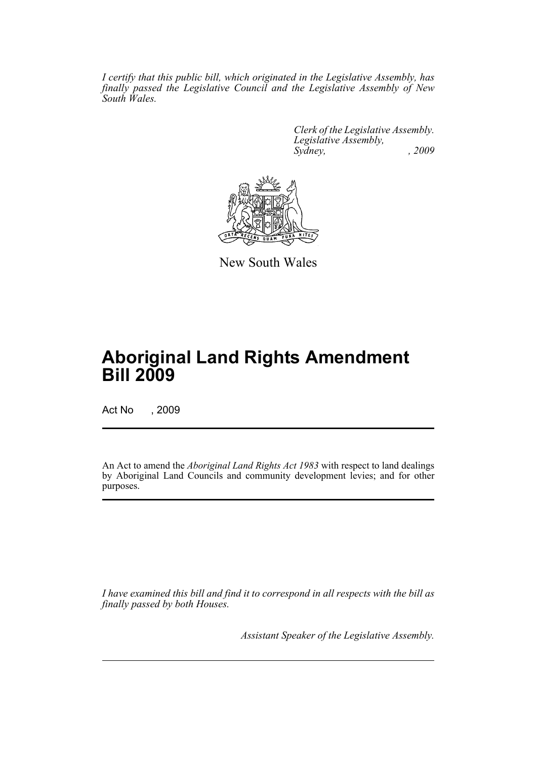*I certify that this public bill, which originated in the Legislative Assembly, has finally passed the Legislative Council and the Legislative Assembly of New South Wales.*

> *Clerk of the Legislative Assembly. Legislative Assembly, Sydney, , 2009*



New South Wales

# **Aboriginal Land Rights Amendment Bill 2009**

Act No , 2009

An Act to amend the *Aboriginal Land Rights Act 1983* with respect to land dealings by Aboriginal Land Councils and community development levies; and for other purposes.

*I have examined this bill and find it to correspond in all respects with the bill as finally passed by both Houses.*

*Assistant Speaker of the Legislative Assembly.*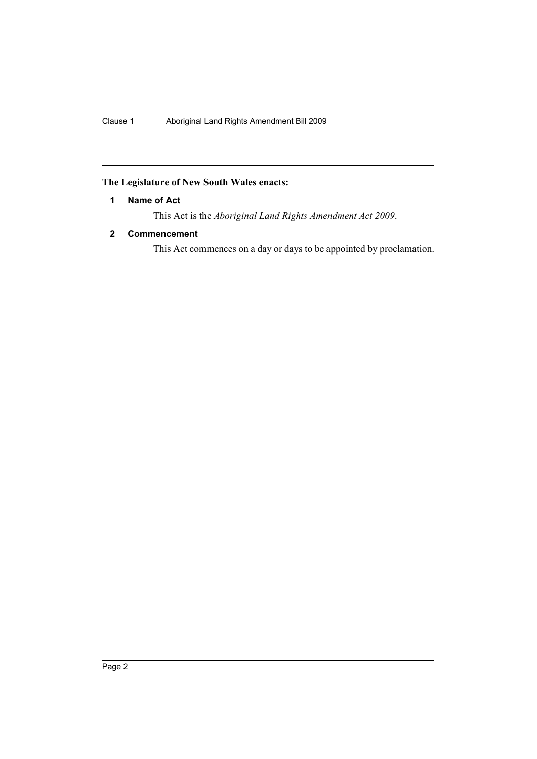## <span id="page-2-0"></span>**The Legislature of New South Wales enacts:**

## **1 Name of Act**

This Act is the *Aboriginal Land Rights Amendment Act 2009*.

## <span id="page-2-1"></span>**2 Commencement**

This Act commences on a day or days to be appointed by proclamation.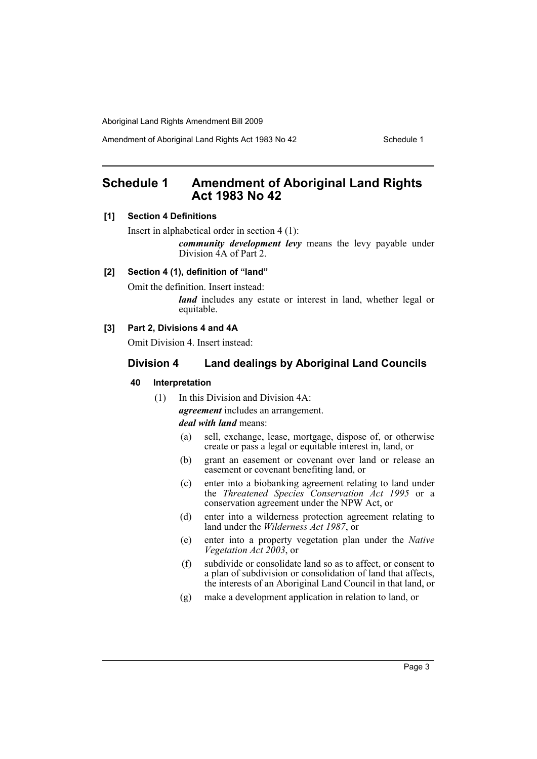Amendment of Aboriginal Land Rights Act 1983 No 42 Schedule 1

# <span id="page-3-0"></span>**Schedule 1 Amendment of Aboriginal Land Rights Act 1983 No 42**

## **[1] Section 4 Definitions**

Insert in alphabetical order in section 4 (1):

*community development levy* means the levy payable under Division 4A of Part 2.

## **[2] Section 4 (1), definition of "land"**

Omit the definition. Insert instead:

*land* includes any estate or interest in land, whether legal or equitable.

#### **[3] Part 2, Divisions 4 and 4A**

Omit Division 4. Insert instead:

## **Division 4 Land dealings by Aboriginal Land Councils**

## **40 Interpretation**

(1) In this Division and Division 4A:

*agreement* includes an arrangement.

*deal with land* means:

- (a) sell, exchange, lease, mortgage, dispose of, or otherwise create or pass a legal or equitable interest in, land, or
- (b) grant an easement or covenant over land or release an easement or covenant benefiting land, or
- (c) enter into a biobanking agreement relating to land under the *Threatened Species Conservation Act 1995* or a conservation agreement under the NPW Act, or
- (d) enter into a wilderness protection agreement relating to land under the *Wilderness Act 1987*, or
- (e) enter into a property vegetation plan under the *Native Vegetation Act 2003*, or
- (f) subdivide or consolidate land so as to affect, or consent to a plan of subdivision or consolidation of land that affects, the interests of an Aboriginal Land Council in that land, or
- (g) make a development application in relation to land, or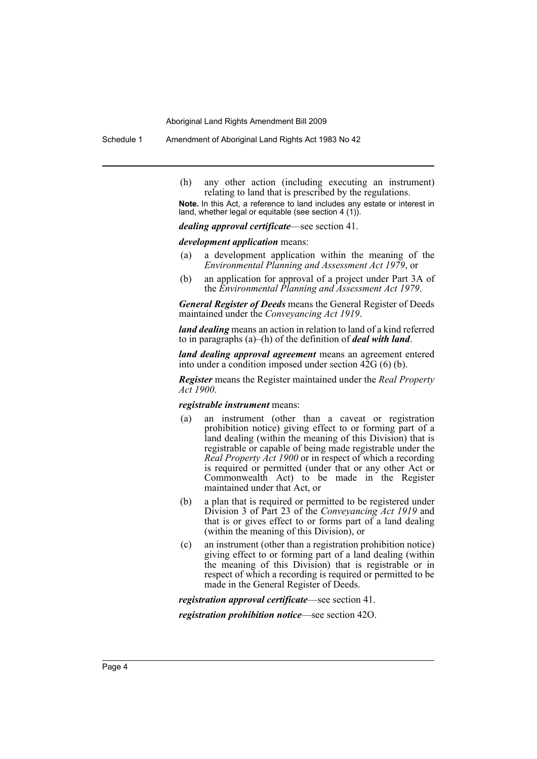Schedule 1 Amendment of Aboriginal Land Rights Act 1983 No 42

(h) any other action (including executing an instrument) relating to land that is prescribed by the regulations.

**Note.** In this Act, a reference to land includes any estate or interest in land, whether legal or equitable (see section 4 (1)).

*dealing approval certificate*—see section 41.

#### *development application* means:

- (a) a development application within the meaning of the *Environmental Planning and Assessment Act 1979*, or
- (b) an application for approval of a project under Part 3A of the *Environmental Planning and Assessment Act 1979*.

*General Register of Deeds* means the General Register of Deeds maintained under the *Conveyancing Act 1919*.

*land dealing* means an action in relation to land of a kind referred to in paragraphs (a)–(h) of the definition of *deal with land*.

*land dealing approval agreement* means an agreement entered into under a condition imposed under section 42G (6) (b).

*Register* means the Register maintained under the *Real Property Act 1900*.

#### *registrable instrument* means:

- (a) an instrument (other than a caveat or registration prohibition notice) giving effect to or forming part of a land dealing (within the meaning of this Division) that is registrable or capable of being made registrable under the *Real Property Act 1900* or in respect of which a recording is required or permitted (under that or any other Act or Commonwealth Act) to be made in the Register maintained under that Act, or
- (b) a plan that is required or permitted to be registered under Division 3 of Part 23 of the *Conveyancing Act 1919* and that is or gives effect to or forms part of a land dealing (within the meaning of this Division), or
- (c) an instrument (other than a registration prohibition notice) giving effect to or forming part of a land dealing (within the meaning of this Division) that is registrable or in respect of which a recording is required or permitted to be made in the General Register of Deeds.

*registration approval certificate*—see section 41.

*registration prohibition notice*—see section 42O.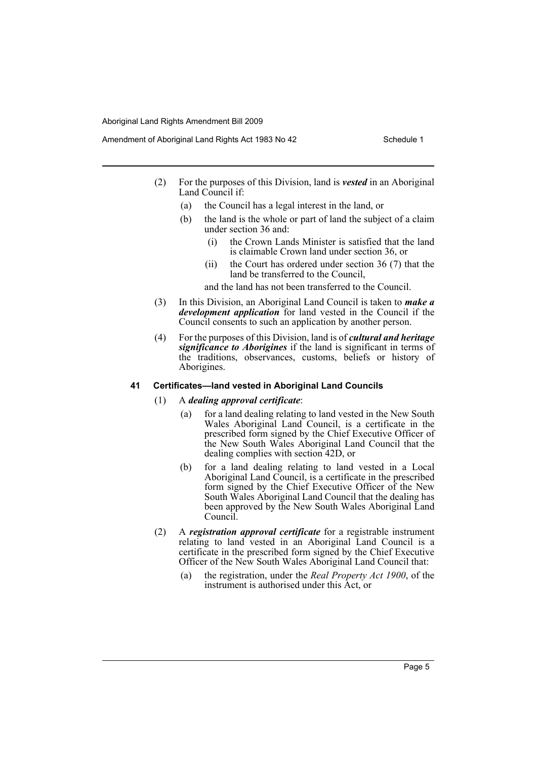- Amendment of Aboriginal Land Rights Act 1983 No 42 Schedule 1
	- (2) For the purposes of this Division, land is *vested* in an Aboriginal Land Council if:
		- (a) the Council has a legal interest in the land, or
		- (b) the land is the whole or part of land the subject of a claim under section 36 and:
			- (i) the Crown Lands Minister is satisfied that the land is claimable Crown land under section 36, or
			- (ii) the Court has ordered under section 36 (7) that the land be transferred to the Council,

and the land has not been transferred to the Council.

- (3) In this Division, an Aboriginal Land Council is taken to *make a development application* for land vested in the Council if the Council consents to such an application by another person.
- (4) For the purposes of this Division, land is of *cultural and heritage significance to Aborigines* if the land is significant in terms of the traditions, observances, customs, beliefs or history of Aborigines.

## **41 Certificates—land vested in Aboriginal Land Councils**

## (1) A *dealing approval certificate*:

- (a) for a land dealing relating to land vested in the New South Wales Aboriginal Land Council, is a certificate in the prescribed form signed by the Chief Executive Officer of the New South Wales Aboriginal Land Council that the dealing complies with section 42D, or
- (b) for a land dealing relating to land vested in a Local Aboriginal Land Council, is a certificate in the prescribed form signed by the Chief Executive Officer of the New South Wales Aboriginal Land Council that the dealing has been approved by the New South Wales Aboriginal Land Council.
- (2) A *registration approval certificate* for a registrable instrument relating to land vested in an Aboriginal Land Council is a certificate in the prescribed form signed by the Chief Executive Officer of the New South Wales Aboriginal Land Council that:
	- (a) the registration, under the *Real Property Act 1900*, of the instrument is authorised under this Act, or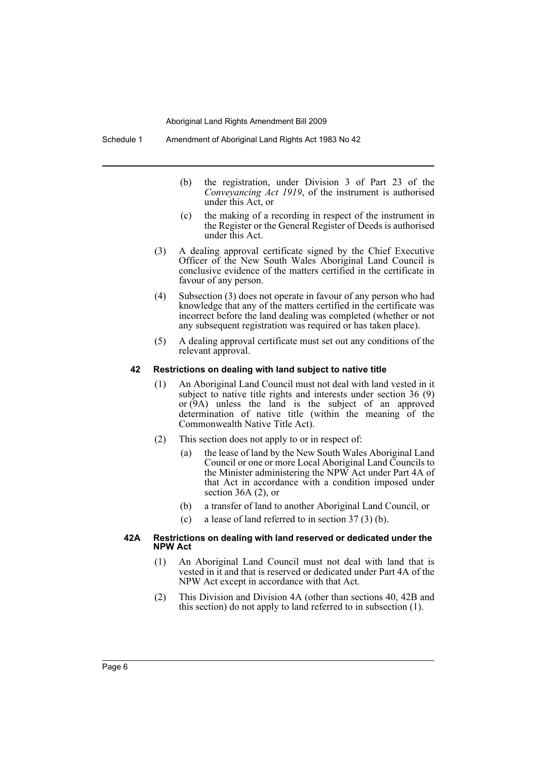- (b) the registration, under Division 3 of Part 23 of the *Conveyancing Act 1919*, of the instrument is authorised under this Act, or
- (c) the making of a recording in respect of the instrument in the Register or the General Register of Deeds is authorised under this Act.
- (3) A dealing approval certificate signed by the Chief Executive Officer of the New South Wales Aboriginal Land Council is conclusive evidence of the matters certified in the certificate in favour of any person.
- (4) Subsection (3) does not operate in favour of any person who had knowledge that any of the matters certified in the certificate was incorrect before the land dealing was completed (whether or not any subsequent registration was required or has taken place).
- (5) A dealing approval certificate must set out any conditions of the relevant approval.

#### **42 Restrictions on dealing with land subject to native title**

- (1) An Aboriginal Land Council must not deal with land vested in it subject to native title rights and interests under section 36 (9) or (9A) unless the land is the subject of an approved determination of native title (within the meaning of the Commonwealth Native Title Act).
- (2) This section does not apply to or in respect of:
	- (a) the lease of land by the New South Wales Aboriginal Land Council or one or more Local Aboriginal Land Councils to the Minister administering the NPW Act under Part 4A of that Act in accordance with a condition imposed under section 36A (2), or
	- (b) a transfer of land to another Aboriginal Land Council, or
	- (c) a lease of land referred to in section 37 (3) (b).

## **42A Restrictions on dealing with land reserved or dedicated under the NPW Act**

- (1) An Aboriginal Land Council must not deal with land that is vested in it and that is reserved or dedicated under Part 4A of the NPW Act except in accordance with that Act.
- (2) This Division and Division 4A (other than sections 40, 42B and this section) do not apply to land referred to in subsection (1).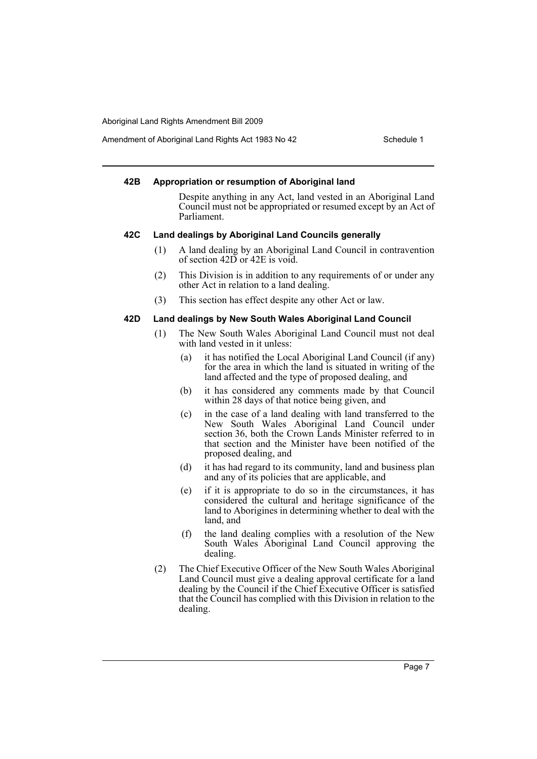Amendment of Aboriginal Land Rights Act 1983 No 42 Schedule 1

## **42B Appropriation or resumption of Aboriginal land**

Despite anything in any Act, land vested in an Aboriginal Land Council must not be appropriated or resumed except by an Act of Parliament.

## **42C Land dealings by Aboriginal Land Councils generally**

- (1) A land dealing by an Aboriginal Land Council in contravention of section 42D or 42E is void.
- (2) This Division is in addition to any requirements of or under any other Act in relation to a land dealing.
- (3) This section has effect despite any other Act or law.

## **42D Land dealings by New South Wales Aboriginal Land Council**

- (1) The New South Wales Aboriginal Land Council must not deal with land vested in it unless:
	- (a) it has notified the Local Aboriginal Land Council (if any) for the area in which the land is situated in writing of the land affected and the type of proposed dealing, and
	- (b) it has considered any comments made by that Council within 28 days of that notice being given, and
	- (c) in the case of a land dealing with land transferred to the New South Wales Aboriginal Land Council under section 36, both the Crown Lands Minister referred to in that section and the Minister have been notified of the proposed dealing, and
	- (d) it has had regard to its community, land and business plan and any of its policies that are applicable, and
	- (e) if it is appropriate to do so in the circumstances, it has considered the cultural and heritage significance of the land to Aborigines in determining whether to deal with the land, and
	- (f) the land dealing complies with a resolution of the New South Wales Aboriginal Land Council approving the dealing.
- (2) The Chief Executive Officer of the New South Wales Aboriginal Land Council must give a dealing approval certificate for a land dealing by the Council if the Chief Executive Officer is satisfied that the Council has complied with this Division in relation to the dealing.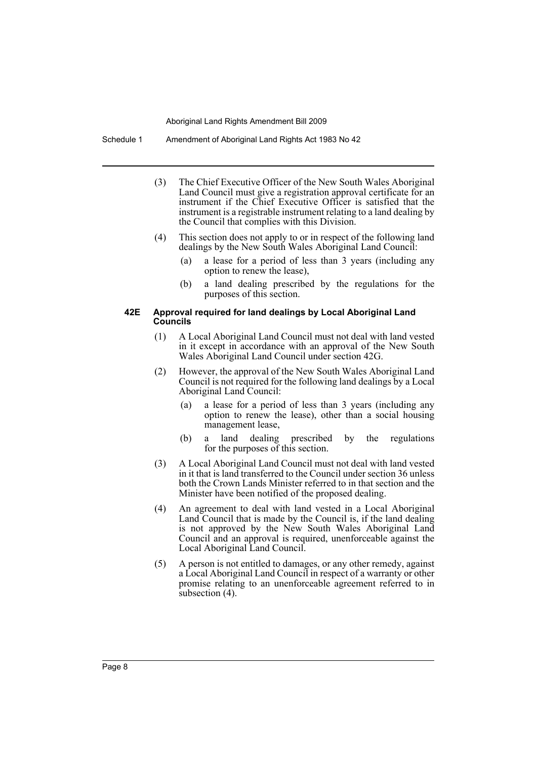Schedule 1 Amendment of Aboriginal Land Rights Act 1983 No 42

- (3) The Chief Executive Officer of the New South Wales Aboriginal Land Council must give a registration approval certificate for an instrument if the Chief Executive Officer is satisfied that the instrument is a registrable instrument relating to a land dealing by the Council that complies with this Division.
- (4) This section does not apply to or in respect of the following land dealings by the New South Wales Aboriginal Land Council:
	- (a) a lease for a period of less than 3 years (including any option to renew the lease),
	- (b) a land dealing prescribed by the regulations for the purposes of this section.

### **42E Approval required for land dealings by Local Aboriginal Land Councils**

- (1) A Local Aboriginal Land Council must not deal with land vested in it except in accordance with an approval of the New South Wales Aboriginal Land Council under section 42G.
- (2) However, the approval of the New South Wales Aboriginal Land Council is not required for the following land dealings by a Local Aboriginal Land Council:
	- (a) a lease for a period of less than 3 years (including any option to renew the lease), other than a social housing management lease,
	- (b) a land dealing prescribed by the regulations for the purposes of this section.
- (3) A Local Aboriginal Land Council must not deal with land vested in it that is land transferred to the Council under section 36 unless both the Crown Lands Minister referred to in that section and the Minister have been notified of the proposed dealing.
- (4) An agreement to deal with land vested in a Local Aboriginal Land Council that is made by the Council is, if the land dealing is not approved by the New South Wales Aboriginal Land Council and an approval is required, unenforceable against the Local Aboriginal Land Council.
- (5) A person is not entitled to damages, or any other remedy, against a Local Aboriginal Land Council in respect of a warranty or other promise relating to an unenforceable agreement referred to in subsection (4).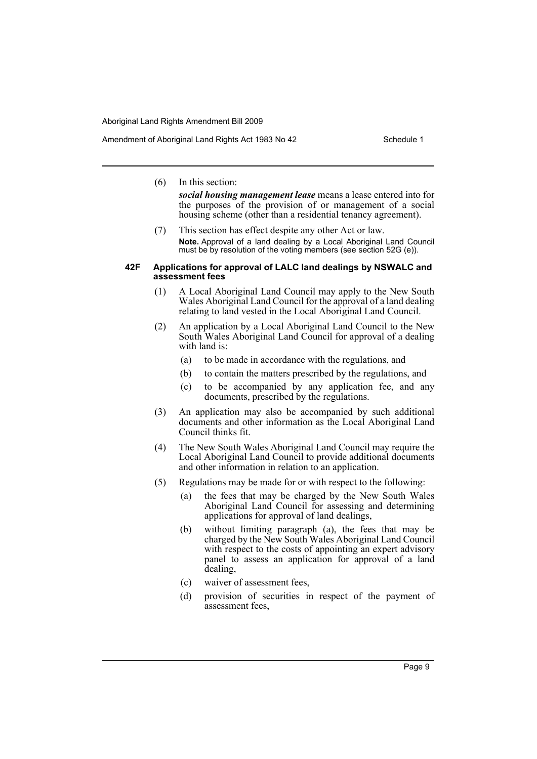## (6) In this section:

*social housing management lease* means a lease entered into for the purposes of the provision of or management of a social housing scheme (other than a residential tenancy agreement).

(7) This section has effect despite any other Act or law. **Note.** Approval of a land dealing by a Local Aboriginal Land Council must be by resolution of the voting members (see section 52G (e)).

#### **42F Applications for approval of LALC land dealings by NSWALC and assessment fees**

- (1) A Local Aboriginal Land Council may apply to the New South Wales Aboriginal Land Council for the approval of a land dealing relating to land vested in the Local Aboriginal Land Council.
- (2) An application by a Local Aboriginal Land Council to the New South Wales Aboriginal Land Council for approval of a dealing with land is:
	- (a) to be made in accordance with the regulations, and
	- (b) to contain the matters prescribed by the regulations, and
	- (c) to be accompanied by any application fee, and any documents, prescribed by the regulations.
- (3) An application may also be accompanied by such additional documents and other information as the Local Aboriginal Land Council thinks fit.
- (4) The New South Wales Aboriginal Land Council may require the Local Aboriginal Land Council to provide additional documents and other information in relation to an application.
- (5) Regulations may be made for or with respect to the following:
	- (a) the fees that may be charged by the New South Wales Aboriginal Land Council for assessing and determining applications for approval of land dealings,
	- (b) without limiting paragraph (a), the fees that may be charged by the New South Wales Aboriginal Land Council with respect to the costs of appointing an expert advisory panel to assess an application for approval of a land dealing,
	- (c) waiver of assessment fees,
	- (d) provision of securities in respect of the payment of assessment fees,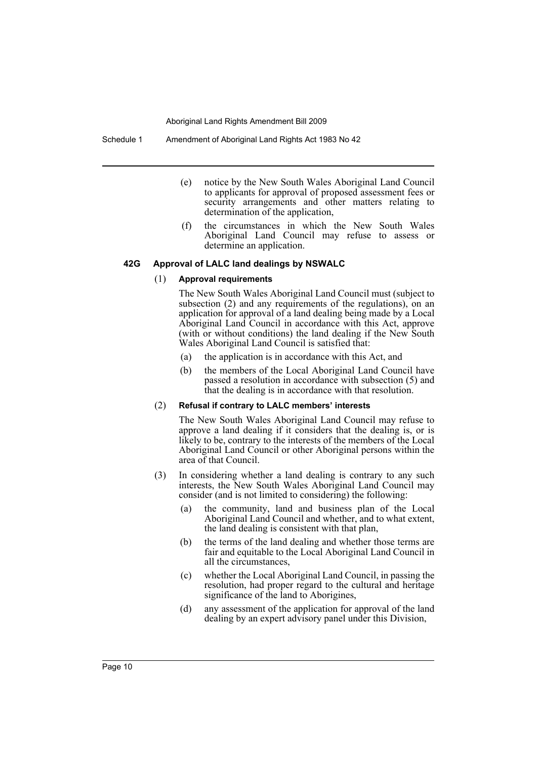Schedule 1 Amendment of Aboriginal Land Rights Act 1983 No 42

- (e) notice by the New South Wales Aboriginal Land Council to applicants for approval of proposed assessment fees or security arrangements and other matters relating to determination of the application,
- (f) the circumstances in which the New South Wales Aboriginal Land Council may refuse to assess or determine an application.

## **42G Approval of LALC land dealings by NSWALC**

#### (1) **Approval requirements**

The New South Wales Aboriginal Land Council must (subject to subsection (2) and any requirements of the regulations), on an application for approval of a land dealing being made by a Local Aboriginal Land Council in accordance with this Act, approve (with or without conditions) the land dealing if the New South Wales Aboriginal Land Council is satisfied that:

- (a) the application is in accordance with this Act, and
- (b) the members of the Local Aboriginal Land Council have passed a resolution in accordance with subsection (5) and that the dealing is in accordance with that resolution.

#### (2) **Refusal if contrary to LALC members' interests**

The New South Wales Aboriginal Land Council may refuse to approve a land dealing if it considers that the dealing is, or is likely to be, contrary to the interests of the members of the Local Aboriginal Land Council or other Aboriginal persons within the area of that Council.

- (3) In considering whether a land dealing is contrary to any such interests, the New South Wales Aboriginal Land Council may consider (and is not limited to considering) the following:
	- (a) the community, land and business plan of the Local Aboriginal Land Council and whether, and to what extent, the land dealing is consistent with that plan,
	- (b) the terms of the land dealing and whether those terms are fair and equitable to the Local Aboriginal Land Council in all the circumstances,
	- (c) whether the Local Aboriginal Land Council, in passing the resolution, had proper regard to the cultural and heritage significance of the land to Aborigines,
	- (d) any assessment of the application for approval of the land dealing by an expert advisory panel under this Division,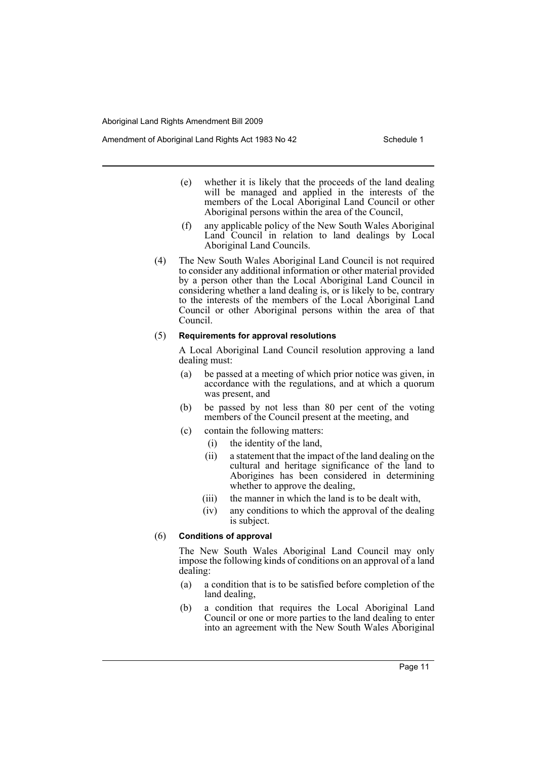Amendment of Aboriginal Land Rights Act 1983 No 42 Schedule 1

- (e) whether it is likely that the proceeds of the land dealing will be managed and applied in the interests of the members of the Local Aboriginal Land Council or other Aboriginal persons within the area of the Council,
- (f) any applicable policy of the New South Wales Aboriginal Land Council in relation to land dealings by Local Aboriginal Land Councils.
- (4) The New South Wales Aboriginal Land Council is not required to consider any additional information or other material provided by a person other than the Local Aboriginal Land Council in considering whether a land dealing is, or is likely to be, contrary to the interests of the members of the Local Aboriginal Land Council or other Aboriginal persons within the area of that Council.

## (5) **Requirements for approval resolutions**

A Local Aboriginal Land Council resolution approving a land dealing must:

- (a) be passed at a meeting of which prior notice was given, in accordance with the regulations, and at which a quorum was present, and
- (b) be passed by not less than 80 per cent of the voting members of the Council present at the meeting, and
- (c) contain the following matters:
	- (i) the identity of the land,
	- (ii) a statement that the impact of the land dealing on the cultural and heritage significance of the land to Aborigines has been considered in determining whether to approve the dealing,
	- (iii) the manner in which the land is to be dealt with,
	- (iv) any conditions to which the approval of the dealing is subject.

## (6) **Conditions of approval**

The New South Wales Aboriginal Land Council may only impose the following kinds of conditions on an approval of a land dealing:

- (a) a condition that is to be satisfied before completion of the land dealing,
- (b) a condition that requires the Local Aboriginal Land Council or one or more parties to the land dealing to enter into an agreement with the New South Wales Aboriginal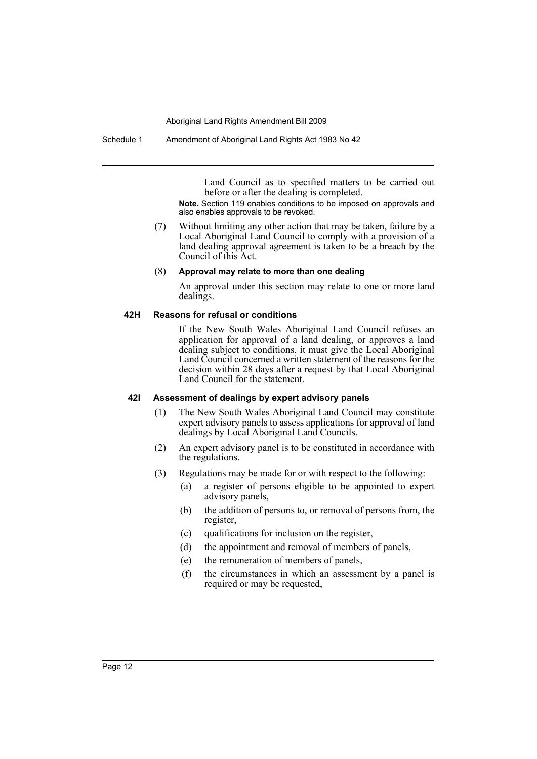Schedule 1 Amendment of Aboriginal Land Rights Act 1983 No 42

Land Council as to specified matters to be carried out before or after the dealing is completed.

**Note.** Section 119 enables conditions to be imposed on approvals and also enables approvals to be revoked.

(7) Without limiting any other action that may be taken, failure by a Local Aboriginal Land Council to comply with a provision of a land dealing approval agreement is taken to be a breach by the Council of this Act.

#### (8) **Approval may relate to more than one dealing**

An approval under this section may relate to one or more land dealings.

### **42H Reasons for refusal or conditions**

If the New South Wales Aboriginal Land Council refuses an application for approval of a land dealing, or approves a land dealing subject to conditions, it must give the Local Aboriginal Land Council concerned a written statement of the reasons for the decision within 28 days after a request by that Local Aboriginal Land Council for the statement.

## **42I Assessment of dealings by expert advisory panels**

- (1) The New South Wales Aboriginal Land Council may constitute expert advisory panels to assess applications for approval of land dealings by Local Aboriginal Land Councils.
- (2) An expert advisory panel is to be constituted in accordance with the regulations.
- (3) Regulations may be made for or with respect to the following:
	- (a) a register of persons eligible to be appointed to expert advisory panels,
	- (b) the addition of persons to, or removal of persons from, the register,
	- (c) qualifications for inclusion on the register,
	- (d) the appointment and removal of members of panels,
	- (e) the remuneration of members of panels,
	- (f) the circumstances in which an assessment by a panel is required or may be requested,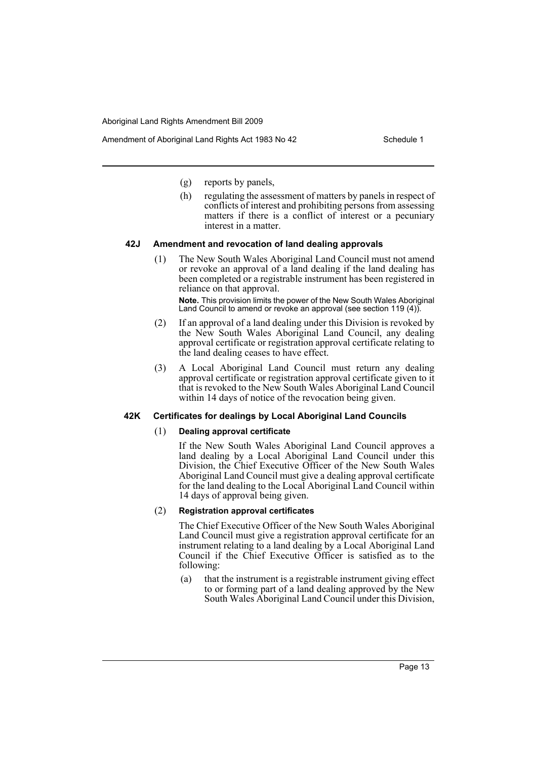Amendment of Aboriginal Land Rights Act 1983 No 42 Schedule 1

- (g) reports by panels,
- (h) regulating the assessment of matters by panels in respect of conflicts of interest and prohibiting persons from assessing matters if there is a conflict of interest or a pecuniary interest in a matter.

## **42J Amendment and revocation of land dealing approvals**

(1) The New South Wales Aboriginal Land Council must not amend or revoke an approval of a land dealing if the land dealing has been completed or a registrable instrument has been registered in reliance on that approval.

**Note.** This provision limits the power of the New South Wales Aboriginal Land Council to amend or revoke an approval (see section 119 (4)).

- (2) If an approval of a land dealing under this Division is revoked by the New South Wales Aboriginal Land Council, any dealing approval certificate or registration approval certificate relating to the land dealing ceases to have effect.
- (3) A Local Aboriginal Land Council must return any dealing approval certificate or registration approval certificate given to it that is revoked to the New South Wales Aboriginal Land Council within 14 days of notice of the revocation being given.

## **42K Certificates for dealings by Local Aboriginal Land Councils**

#### (1) **Dealing approval certificate**

If the New South Wales Aboriginal Land Council approves a land dealing by a Local Aboriginal Land Council under this Division, the Chief Executive Officer of the New South Wales Aboriginal Land Council must give a dealing approval certificate for the land dealing to the Local Aboriginal Land Council within 14 days of approval being given.

#### (2) **Registration approval certificates**

The Chief Executive Officer of the New South Wales Aboriginal Land Council must give a registration approval certificate for an instrument relating to a land dealing by a Local Aboriginal Land Council if the Chief Executive Officer is satisfied as to the following:

(a) that the instrument is a registrable instrument giving effect to or forming part of a land dealing approved by the New South Wales Aboriginal Land Council under this Division,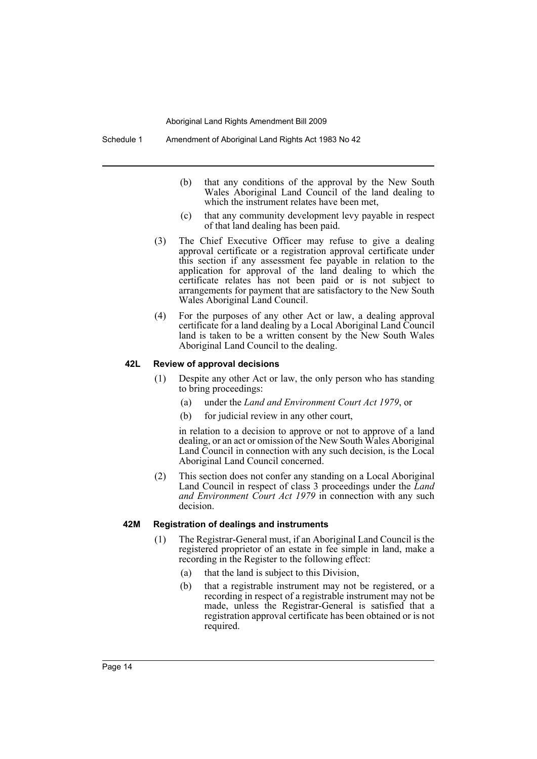- (b) that any conditions of the approval by the New South Wales Aboriginal Land Council of the land dealing to which the instrument relates have been met,
- (c) that any community development levy payable in respect of that land dealing has been paid.
- (3) The Chief Executive Officer may refuse to give a dealing approval certificate or a registration approval certificate under this section if any assessment fee payable in relation to the application for approval of the land dealing to which the certificate relates has not been paid or is not subject to arrangements for payment that are satisfactory to the New South Wales Aboriginal Land Council.
- (4) For the purposes of any other Act or law, a dealing approval certificate for a land dealing by a Local Aboriginal Land Council land is taken to be a written consent by the New South Wales Aboriginal Land Council to the dealing.

#### **42L Review of approval decisions**

- (1) Despite any other Act or law, the only person who has standing to bring proceedings:
	- (a) under the *Land and Environment Court Act 1979*, or
	- (b) for judicial review in any other court,

in relation to a decision to approve or not to approve of a land dealing, or an act or omission of the New South Wales Aboriginal Land Council in connection with any such decision, is the Local Aboriginal Land Council concerned.

(2) This section does not confer any standing on a Local Aboriginal Land Council in respect of class 3 proceedings under the *Land and Environment Court Act 1979* in connection with any such decision.

## **42M Registration of dealings and instruments**

- (1) The Registrar-General must, if an Aboriginal Land Council is the registered proprietor of an estate in fee simple in land, make a recording in the Register to the following effect:
	- (a) that the land is subject to this Division,
	- (b) that a registrable instrument may not be registered, or a recording in respect of a registrable instrument may not be made, unless the Registrar-General is satisfied that a registration approval certificate has been obtained or is not required.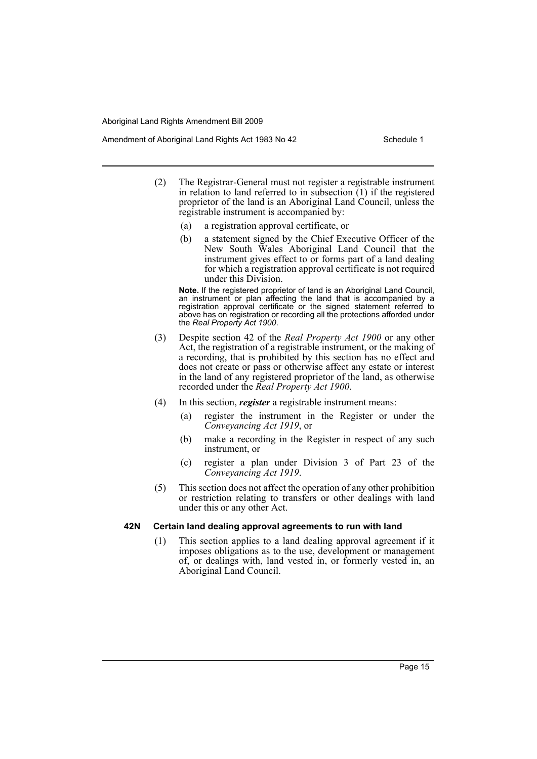Amendment of Aboriginal Land Rights Act 1983 No 42 Schedule 1

- (2) The Registrar-General must not register a registrable instrument in relation to land referred to in subsection  $(1)$  if the registered proprietor of the land is an Aboriginal Land Council, unless the registrable instrument is accompanied by:
	- (a) a registration approval certificate, or
	- (b) a statement signed by the Chief Executive Officer of the New South Wales Aboriginal Land Council that the instrument gives effect to or forms part of a land dealing for which a registration approval certificate is not required under this Division.

**Note.** If the registered proprietor of land is an Aboriginal Land Council, an instrument or plan affecting the land that is accompanied by a registration approval certificate or the signed statement referred to above has on registration or recording all the protections afforded under the *Real Property Act 1900*.

- (3) Despite section 42 of the *Real Property Act 1900* or any other Act, the registration of a registrable instrument, or the making of a recording, that is prohibited by this section has no effect and does not create or pass or otherwise affect any estate or interest in the land of any registered proprietor of the land, as otherwise recorded under the *Real Property Act 1900*.
- (4) In this section, *register* a registrable instrument means:
	- (a) register the instrument in the Register or under the *Conveyancing Act 1919*, or
	- (b) make a recording in the Register in respect of any such instrument, or
	- (c) register a plan under Division 3 of Part 23 of the *Conveyancing Act 1919*.
- (5) This section does not affect the operation of any other prohibition or restriction relating to transfers or other dealings with land under this or any other Act.

## **42N Certain land dealing approval agreements to run with land**

(1) This section applies to a land dealing approval agreement if it imposes obligations as to the use, development or management of, or dealings with, land vested in, or formerly vested in, an Aboriginal Land Council.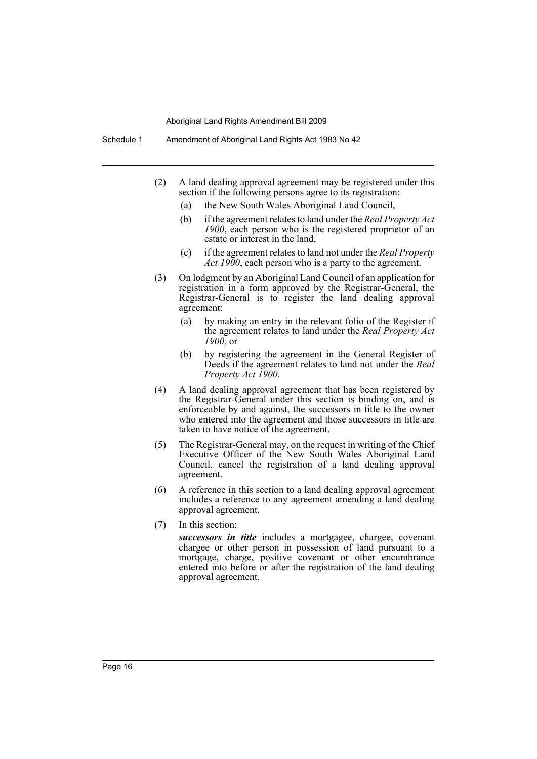Schedule 1 Amendment of Aboriginal Land Rights Act 1983 No 42

- (2) A land dealing approval agreement may be registered under this section if the following persons agree to its registration:
	- (a) the New South Wales Aboriginal Land Council,
	- (b) if the agreement relates to land under the *Real Property Act 1900*, each person who is the registered proprietor of an estate or interest in the land,
	- (c) if the agreement relates to land not under the *Real Property Act 1900*, each person who is a party to the agreement.
- (3) On lodgment by an Aboriginal Land Council of an application for registration in a form approved by the Registrar-General, the Registrar-General is to register the land dealing approval agreement:
	- (a) by making an entry in the relevant folio of the Register if the agreement relates to land under the *Real Property Act 1900*, or
	- (b) by registering the agreement in the General Register of Deeds if the agreement relates to land not under the *Real Property Act 1900*.
- (4) A land dealing approval agreement that has been registered by the Registrar-General under this section is binding on, and is enforceable by and against, the successors in title to the owner who entered into the agreement and those successors in title are taken to have notice of the agreement.
- (5) The Registrar-General may, on the request in writing of the Chief Executive Officer of the New South Wales Aboriginal Land Council, cancel the registration of a land dealing approval agreement.
- (6) A reference in this section to a land dealing approval agreement includes a reference to any agreement amending a land dealing approval agreement.
- (7) In this section:

*successors in title* includes a mortgagee, chargee, covenant chargee or other person in possession of land pursuant to a mortgage, charge, positive covenant or other encumbrance entered into before or after the registration of the land dealing approval agreement.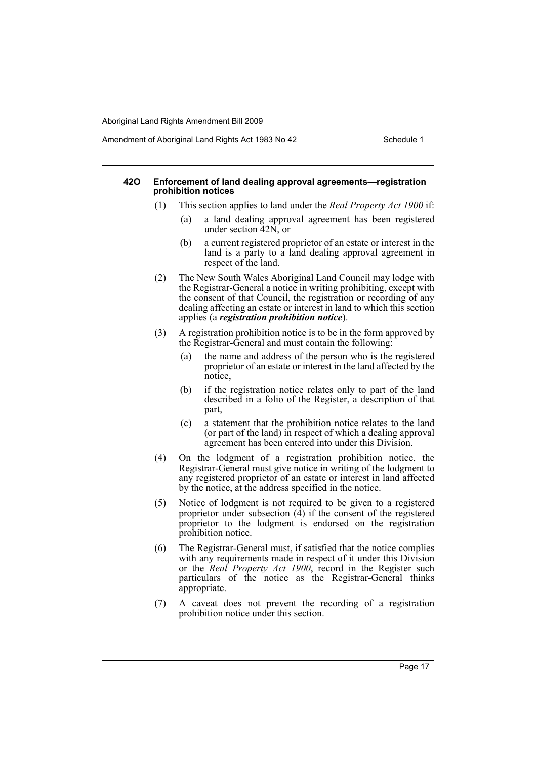Amendment of Aboriginal Land Rights Act 1983 No 42 Schedule 1

### **42O Enforcement of land dealing approval agreements—registration prohibition notices**

- (1) This section applies to land under the *Real Property Act 1900* if:
	- (a) a land dealing approval agreement has been registered under section 42N, or
	- (b) a current registered proprietor of an estate or interest in the land is a party to a land dealing approval agreement in respect of the land.
- (2) The New South Wales Aboriginal Land Council may lodge with the Registrar-General a notice in writing prohibiting, except with the consent of that Council, the registration or recording of any dealing affecting an estate or interest in land to which this section applies (a *registration prohibition notice*).
- (3) A registration prohibition notice is to be in the form approved by the Registrar-General and must contain the following:
	- (a) the name and address of the person who is the registered proprietor of an estate or interest in the land affected by the notice,
	- (b) if the registration notice relates only to part of the land described in a folio of the Register, a description of that part,
	- (c) a statement that the prohibition notice relates to the land (or part of the land) in respect of which a dealing approval agreement has been entered into under this Division.
- (4) On the lodgment of a registration prohibition notice, the Registrar-General must give notice in writing of the lodgment to any registered proprietor of an estate or interest in land affected by the notice, at the address specified in the notice.
- (5) Notice of lodgment is not required to be given to a registered proprietor under subsection  $(\overline{4})$  if the consent of the registered proprietor to the lodgment is endorsed on the registration prohibition notice.
- (6) The Registrar-General must, if satisfied that the notice complies with any requirements made in respect of it under this Division or the *Real Property Act 1900*, record in the Register such particulars of the notice as the Registrar-General thinks appropriate.
- (7) A caveat does not prevent the recording of a registration prohibition notice under this section.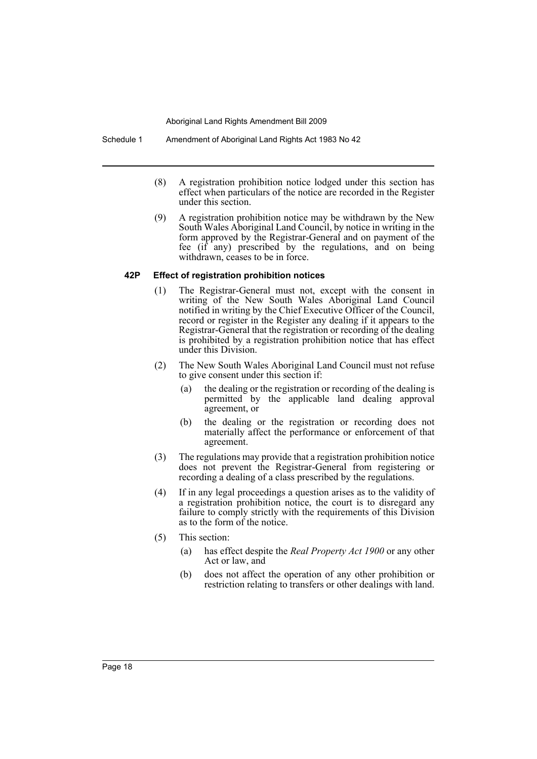- (8) A registration prohibition notice lodged under this section has effect when particulars of the notice are recorded in the Register under this section.
- (9) A registration prohibition notice may be withdrawn by the New South Wales Aboriginal Land Council, by notice in writing in the form approved by the Registrar-General and on payment of the fee (if any) prescribed by the regulations, and on being withdrawn, ceases to be in force.

## **42P Effect of registration prohibition notices**

- (1) The Registrar-General must not, except with the consent in writing of the New South Wales Aboriginal Land Council notified in writing by the Chief Executive Officer of the Council, record or register in the Register any dealing if it appears to the Registrar-General that the registration or recording of the dealing is prohibited by a registration prohibition notice that has effect under this Division.
- (2) The New South Wales Aboriginal Land Council must not refuse to give consent under this section if:
	- (a) the dealing or the registration or recording of the dealing is permitted by the applicable land dealing approval agreement, or
	- (b) the dealing or the registration or recording does not materially affect the performance or enforcement of that agreement.
- (3) The regulations may provide that a registration prohibition notice does not prevent the Registrar-General from registering or recording a dealing of a class prescribed by the regulations.
- (4) If in any legal proceedings a question arises as to the validity of a registration prohibition notice, the court is to disregard any failure to comply strictly with the requirements of this Division as to the form of the notice.
- (5) This section:
	- (a) has effect despite the *Real Property Act 1900* or any other Act or law, and
	- (b) does not affect the operation of any other prohibition or restriction relating to transfers or other dealings with land.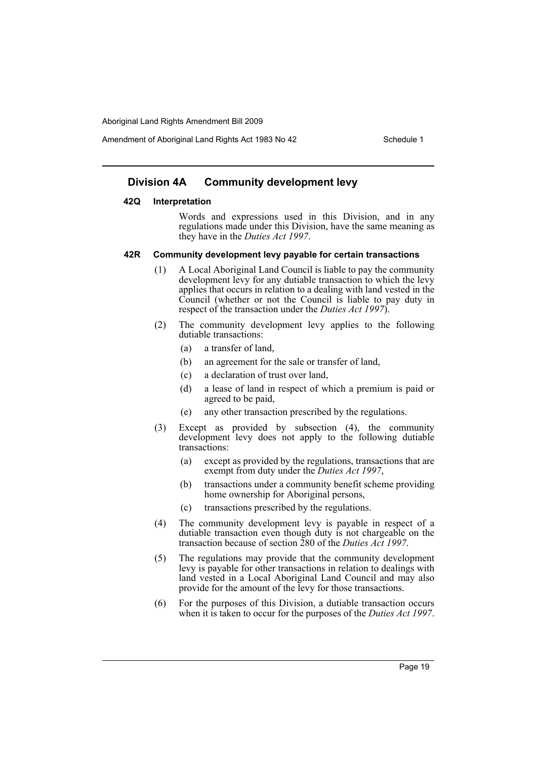Amendment of Aboriginal Land Rights Act 1983 No 42 Schedule 1

## **Division 4A Community development levy**

#### **42Q Interpretation**

Words and expressions used in this Division, and in any regulations made under this Division, have the same meaning as they have in the *Duties Act 1997*.

#### **42R Community development levy payable for certain transactions**

- (1) A Local Aboriginal Land Council is liable to pay the community development levy for any dutiable transaction to which the levy applies that occurs in relation to a dealing with land vested in the Council (whether or not the Council is liable to pay duty in respect of the transaction under the *Duties Act 1997*).
- (2) The community development levy applies to the following dutiable transactions:
	- (a) a transfer of land,
	- (b) an agreement for the sale or transfer of land,
	- (c) a declaration of trust over land,
	- (d) a lease of land in respect of which a premium is paid or agreed to be paid,
	- (e) any other transaction prescribed by the regulations.
- (3) Except as provided by subsection (4), the community development levy does not apply to the following dutiable transactions:
	- (a) except as provided by the regulations, transactions that are exempt from duty under the *Duties Act 1997*,
	- (b) transactions under a community benefit scheme providing home ownership for Aboriginal persons,
	- (c) transactions prescribed by the regulations.
- (4) The community development levy is payable in respect of a dutiable transaction even though duty is not chargeable on the transaction because of section 280 of the *Duties Act 1997*.
- (5) The regulations may provide that the community development levy is payable for other transactions in relation to dealings with land vested in a Local Aboriginal Land Council and may also provide for the amount of the levy for those transactions.
- (6) For the purposes of this Division, a dutiable transaction occurs when it is taken to occur for the purposes of the *Duties Act 1997*.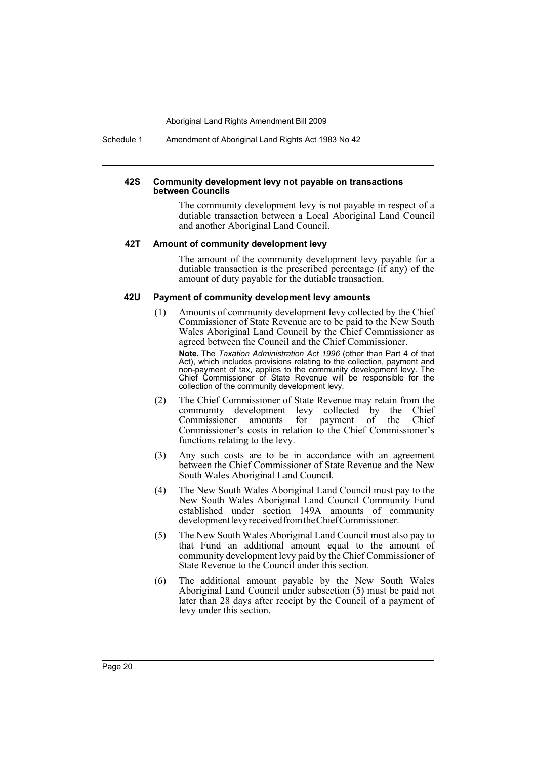Schedule 1 Amendment of Aboriginal Land Rights Act 1983 No 42

#### **42S Community development levy not payable on transactions between Councils**

The community development levy is not payable in respect of a dutiable transaction between a Local Aboriginal Land Council and another Aboriginal Land Council.

#### **42T Amount of community development levy**

The amount of the community development levy payable for a dutiable transaction is the prescribed percentage (if any) of the amount of duty payable for the dutiable transaction.

#### **42U Payment of community development levy amounts**

- (1) Amounts of community development levy collected by the Chief Commissioner of State Revenue are to be paid to the New South Wales Aboriginal Land Council by the Chief Commissioner as agreed between the Council and the Chief Commissioner. **Note.** The *Taxation Administration Act 1996* (other than Part 4 of that Act), which includes provisions relating to the collection, payment and non-payment of tax, applies to the community development levy. The Chief Commissioner of State Revenue will be responsible for the collection of the community development levy.
- (2) The Chief Commissioner of State Revenue may retain from the community development levy collected by the Chief Commissioner amounts for payment of the Chief Commissioner's costs in relation to the Chief Commissioner's functions relating to the levy.
- (3) Any such costs are to be in accordance with an agreement between the Chief Commissioner of State Revenue and the New South Wales Aboriginal Land Council.
- (4) The New South Wales Aboriginal Land Council must pay to the New South Wales Aboriginal Land Council Community Fund established under section 149A amounts of community development levy received from the Chief Commissioner.
- (5) The New South Wales Aboriginal Land Council must also pay to that Fund an additional amount equal to the amount of community development levy paid by the Chief Commissioner of State Revenue to the Council under this section.
- (6) The additional amount payable by the New South Wales Aboriginal Land Council under subsection (5) must be paid not later than 28 days after receipt by the Council of a payment of levy under this section.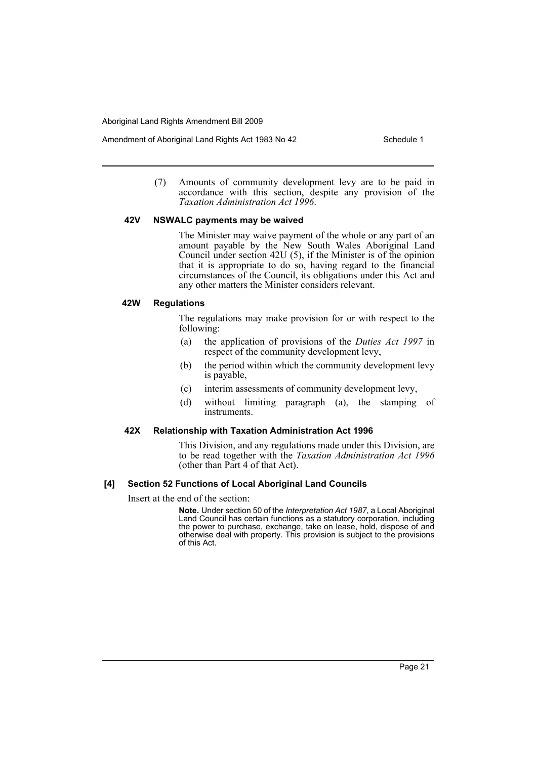Amendment of Aboriginal Land Rights Act 1983 No 42 Schedule 1

(7) Amounts of community development levy are to be paid in accordance with this section, despite any provision of the *Taxation Administration Act 1996*.

## **42V NSWALC payments may be waived**

The Minister may waive payment of the whole or any part of an amount payable by the New South Wales Aboriginal Land Council under section 42U (5), if the Minister is of the opinion that it is appropriate to do so, having regard to the financial circumstances of the Council, its obligations under this Act and any other matters the Minister considers relevant.

## **42W Regulations**

The regulations may make provision for or with respect to the following:

- (a) the application of provisions of the *Duties Act 1997* in respect of the community development levy,
- (b) the period within which the community development levy is payable,
- (c) interim assessments of community development levy,
- (d) without limiting paragraph (a), the stamping of instruments.

## **42X Relationship with Taxation Administration Act 1996**

This Division, and any regulations made under this Division, are to be read together with the *Taxation Administration Act 1996* (other than Part 4 of that Act).

## **[4] Section 52 Functions of Local Aboriginal Land Councils**

Insert at the end of the section:

**Note.** Under section 50 of the *Interpretation Act 1987*, a Local Aboriginal Land Council has certain functions as a statutory corporation, including the power to purchase, exchange, take on lease, hold, dispose of and otherwise deal with property. This provision is subject to the provisions of this Act.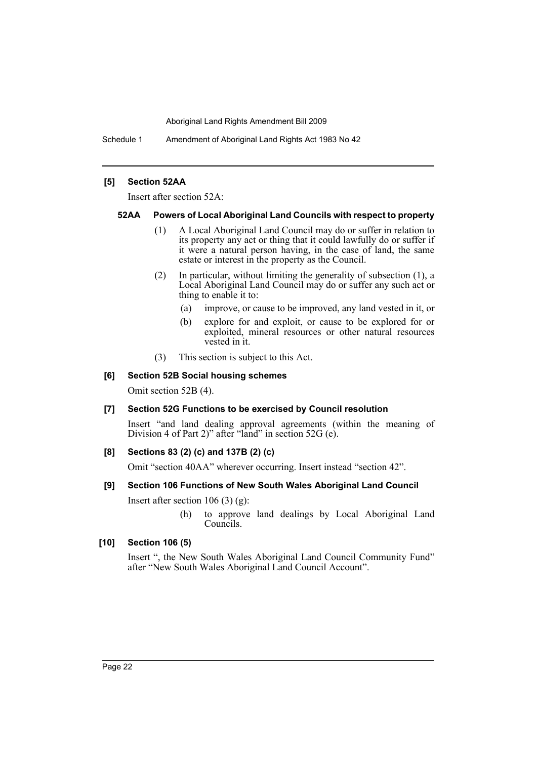Schedule 1 Amendment of Aboriginal Land Rights Act 1983 No 42

## **[5] Section 52AA**

Insert after section 52A:

## **52AA Powers of Local Aboriginal Land Councils with respect to property**

- (1) A Local Aboriginal Land Council may do or suffer in relation to its property any act or thing that it could lawfully do or suffer if it were a natural person having, in the case of land, the same estate or interest in the property as the Council.
- (2) In particular, without limiting the generality of subsection (1), a Local Aboriginal Land Council may do or suffer any such act or thing to enable it to:
	- (a) improve, or cause to be improved, any land vested in it, or
	- (b) explore for and exploit, or cause to be explored for or exploited, mineral resources or other natural resources vested in it.
- (3) This section is subject to this Act.

## **[6] Section 52B Social housing schemes**

Omit section 52B (4).

## **[7] Section 52G Functions to be exercised by Council resolution**

Insert "and land dealing approval agreements (within the meaning of Division 4 of Part 2)" after "land" in section 52G (e).

## **[8] Sections 83 (2) (c) and 137B (2) (c)**

Omit "section 40AA" wherever occurring. Insert instead "section 42".

## **[9] Section 106 Functions of New South Wales Aboriginal Land Council**

Insert after section 106 (3)  $(g)$ :

(h) to approve land dealings by Local Aboriginal Land Councils.

## **[10] Section 106 (5)**

Insert ", the New South Wales Aboriginal Land Council Community Fund" after "New South Wales Aboriginal Land Council Account".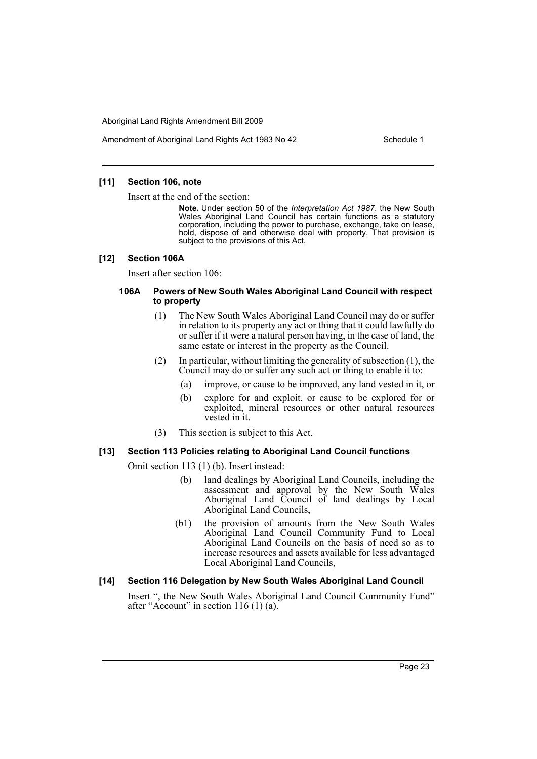Amendment of Aboriginal Land Rights Act 1983 No 42 Schedule 1

## **[11] Section 106, note**

Insert at the end of the section:

**Note.** Under section 50 of the *Interpretation Act 1987*, the New South Wales Aboriginal Land Council has certain functions as a statutory corporation, including the power to purchase, exchange, take on lease, hold, dispose of and otherwise deal with property. That provision is subject to the provisions of this Act.

#### **[12] Section 106A**

Insert after section 106:

## **106A Powers of New South Wales Aboriginal Land Council with respect to property**

- (1) The New South Wales Aboriginal Land Council may do or suffer in relation to its property any act or thing that it could lawfully do or suffer if it were a natural person having, in the case of land, the same estate or interest in the property as the Council.
- (2) In particular, without limiting the generality of subsection (1), the Council may do or suffer any such act or thing to enable it to:
	- (a) improve, or cause to be improved, any land vested in it, or
	- (b) explore for and exploit, or cause to be explored for or exploited, mineral resources or other natural resources vested in it.
- (3) This section is subject to this Act.

## **[13] Section 113 Policies relating to Aboriginal Land Council functions**

Omit section 113 (1) (b). Insert instead:

- (b) land dealings by Aboriginal Land Councils, including the assessment and approval by the New South Wales Aboriginal Land Council of land dealings by Local Aboriginal Land Councils,
- (b1) the provision of amounts from the New South Wales Aboriginal Land Council Community Fund to Local Aboriginal Land Councils on the basis of need so as to increase resources and assets available for less advantaged Local Aboriginal Land Councils,

## **[14] Section 116 Delegation by New South Wales Aboriginal Land Council**

Insert ", the New South Wales Aboriginal Land Council Community Fund" after "Account" in section 116 (1) (a).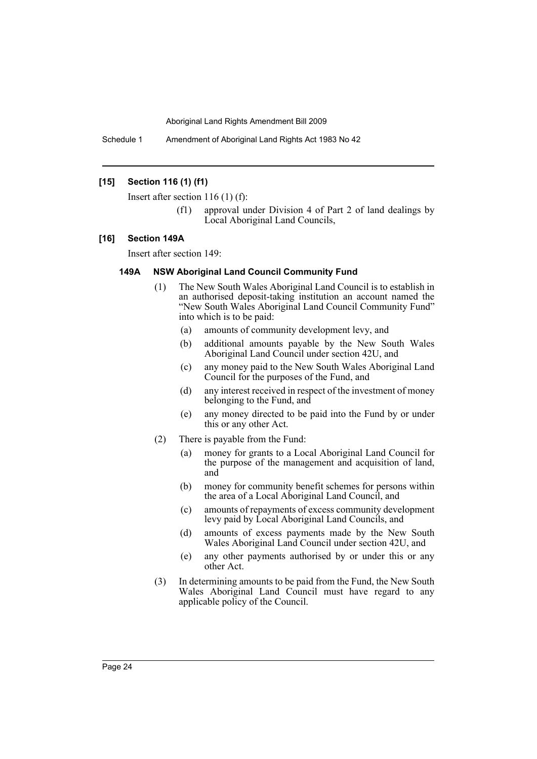Schedule 1 Amendment of Aboriginal Land Rights Act 1983 No 42

## **[15] Section 116 (1) (f1)**

Insert after section 116 (1) (f):

(f1) approval under Division 4 of Part 2 of land dealings by Local Aboriginal Land Councils,

#### **[16] Section 149A**

Insert after section 149:

## **149A NSW Aboriginal Land Council Community Fund**

- (1) The New South Wales Aboriginal Land Council is to establish in an authorised deposit-taking institution an account named the "New South Wales Aboriginal Land Council Community Fund" into which is to be paid:
	- (a) amounts of community development levy, and
	- (b) additional amounts payable by the New South Wales Aboriginal Land Council under section 42U, and
	- (c) any money paid to the New South Wales Aboriginal Land Council for the purposes of the Fund, and
	- (d) any interest received in respect of the investment of money belonging to the Fund, and
	- (e) any money directed to be paid into the Fund by or under this or any other Act.
- (2) There is payable from the Fund:
	- (a) money for grants to a Local Aboriginal Land Council for the purpose of the management and acquisition of land, and
	- (b) money for community benefit schemes for persons within the area of a Local Aboriginal Land Council, and
	- (c) amounts of repayments of excess community development levy paid by Local Aboriginal Land Councils, and
	- (d) amounts of excess payments made by the New South Wales Aboriginal Land Council under section 42U, and
	- (e) any other payments authorised by or under this or any other Act.
- (3) In determining amounts to be paid from the Fund, the New South Wales Aboriginal Land Council must have regard to any applicable policy of the Council.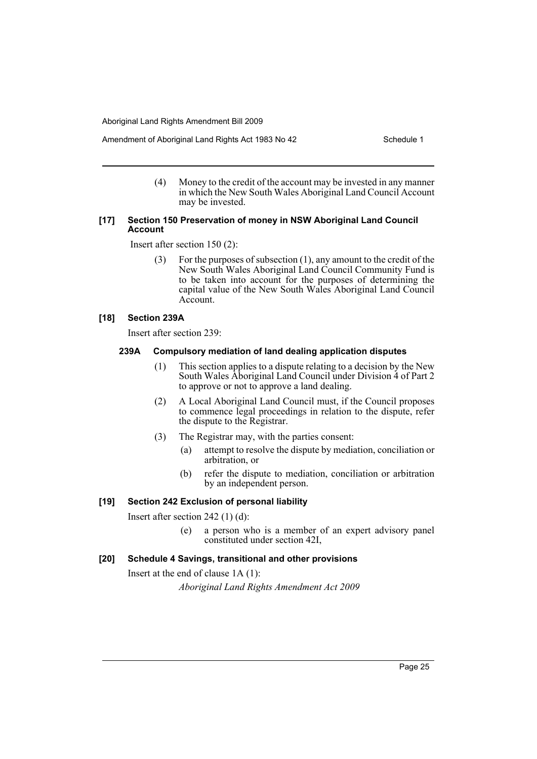Amendment of Aboriginal Land Rights Act 1983 No 42 Schedule 1

(4) Money to the credit of the account may be invested in any manner in which the New South Wales Aboriginal Land Council Account may be invested.

## **[17] Section 150 Preservation of money in NSW Aboriginal Land Council Account**

Insert after section 150 (2):

(3) For the purposes of subsection (1), any amount to the credit of the New South Wales Aboriginal Land Council Community Fund is to be taken into account for the purposes of determining the capital value of the New South Wales Aboriginal Land Council Account.

## **[18] Section 239A**

Insert after section 239:

## **239A Compulsory mediation of land dealing application disputes**

- (1) This section applies to a dispute relating to a decision by the New South Wales Aboriginal Land Council under Division 4 of Part 2 to approve or not to approve a land dealing.
- (2) A Local Aboriginal Land Council must, if the Council proposes to commence legal proceedings in relation to the dispute, refer the dispute to the Registrar.
- (3) The Registrar may, with the parties consent:
	- (a) attempt to resolve the dispute by mediation, conciliation or arbitration, or
	- (b) refer the dispute to mediation, conciliation or arbitration by an independent person.

## **[19] Section 242 Exclusion of personal liability**

Insert after section 242 (1) (d):

(e) a person who is a member of an expert advisory panel constituted under section 42I,

## **[20] Schedule 4 Savings, transitional and other provisions**

Insert at the end of clause 1A (1):

*Aboriginal Land Rights Amendment Act 2009*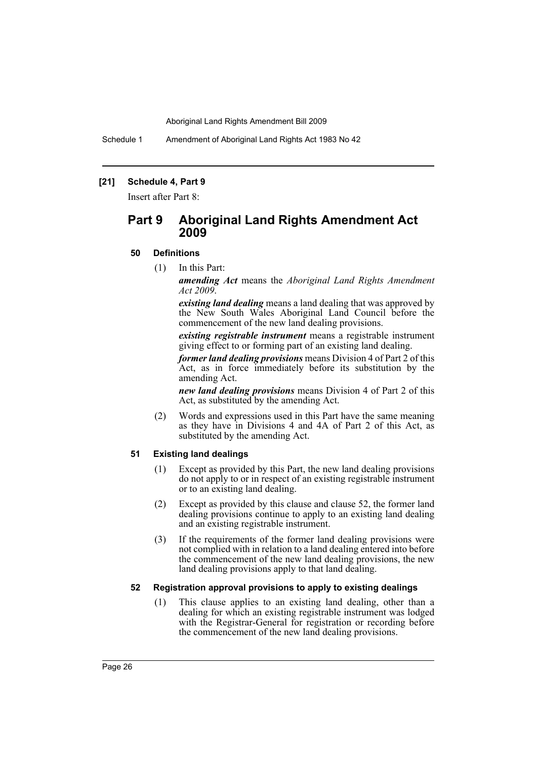Schedule 1 Amendment of Aboriginal Land Rights Act 1983 No 42

## **[21] Schedule 4, Part 9**

Insert after Part 8:

# **Part 9 Aboriginal Land Rights Amendment Act 2009**

## **50 Definitions**

(1) In this Part:

*amending Act* means the *Aboriginal Land Rights Amendment Act 2009*.

*existing land dealing* means a land dealing that was approved by the New South Wales Aboriginal Land Council before the commencement of the new land dealing provisions.

*existing registrable instrument* means a registrable instrument giving effect to or forming part of an existing land dealing.

*former land dealing provisions* means Division 4 of Part 2 of this Act, as in force immediately before its substitution by the amending Act.

*new land dealing provisions* means Division 4 of Part 2 of this Act, as substituted by the amending Act.

(2) Words and expressions used in this Part have the same meaning as they have in Divisions 4 and 4A of Part 2 of this Act, as substituted by the amending Act.

## **51 Existing land dealings**

- (1) Except as provided by this Part, the new land dealing provisions do not apply to or in respect of an existing registrable instrument or to an existing land dealing.
- (2) Except as provided by this clause and clause 52, the former land dealing provisions continue to apply to an existing land dealing and an existing registrable instrument.
- (3) If the requirements of the former land dealing provisions were not complied with in relation to a land dealing entered into before the commencement of the new land dealing provisions, the new land dealing provisions apply to that land dealing.

## **52 Registration approval provisions to apply to existing dealings**

(1) This clause applies to an existing land dealing, other than a dealing for which an existing registrable instrument was lodged with the Registrar-General for registration or recording before the commencement of the new land dealing provisions.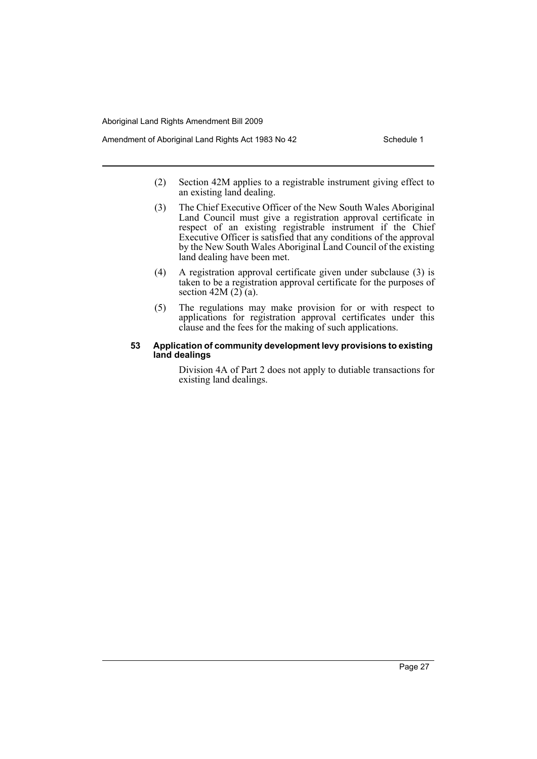- Amendment of Aboriginal Land Rights Act 1983 No 42 Schedule 1
	- (2) Section 42M applies to a registrable instrument giving effect to an existing land dealing.
	- (3) The Chief Executive Officer of the New South Wales Aboriginal Land Council must give a registration approval certificate in respect of an existing registrable instrument if the Chief Executive Officer is satisfied that any conditions of the approval by the New South Wales Aboriginal Land Council of the existing land dealing have been met.
	- (4) A registration approval certificate given under subclause (3) is taken to be a registration approval certificate for the purposes of section 42M  $(2)$  (a).
	- (5) The regulations may make provision for or with respect to applications for registration approval certificates under this clause and the fees for the making of such applications.

#### **53 Application of community development levy provisions to existing land dealings**

Division 4A of Part 2 does not apply to dutiable transactions for existing land dealings.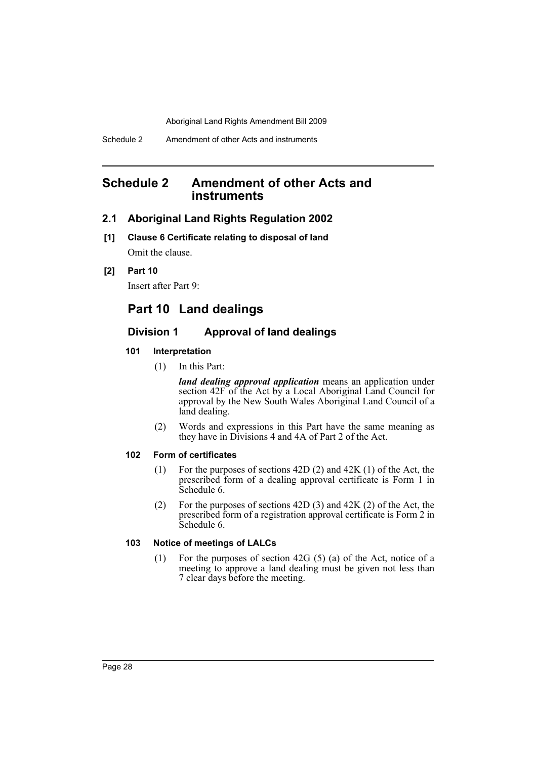# <span id="page-28-0"></span>**Schedule 2 Amendment of other Acts and instruments**

## **2.1 Aboriginal Land Rights Regulation 2002**

**[1] Clause 6 Certificate relating to disposal of land** Omit the clause.

## **[2] Part 10**

Insert after Part 9:

# **Part 10 Land dealings**

## **Division 1 Approval of land dealings**

## **101 Interpretation**

(1) In this Part:

*land dealing approval application* means an application under section 42F of the Act by a Local Aboriginal Land Council for approval by the New South Wales Aboriginal Land Council of a land dealing.

(2) Words and expressions in this Part have the same meaning as they have in Divisions 4 and 4A of Part 2 of the Act.

## **102 Form of certificates**

- (1) For the purposes of sections 42D (2) and 42K (1) of the Act, the prescribed form of a dealing approval certificate is Form 1 in Schedule 6.
- (2) For the purposes of sections 42D (3) and 42K (2) of the Act, the prescribed form of a registration approval certificate is Form 2 in Schedule 6.

## **103 Notice of meetings of LALCs**

(1) For the purposes of section 42G (5) (a) of the Act, notice of a meeting to approve a land dealing must be given not less than 7 clear days before the meeting.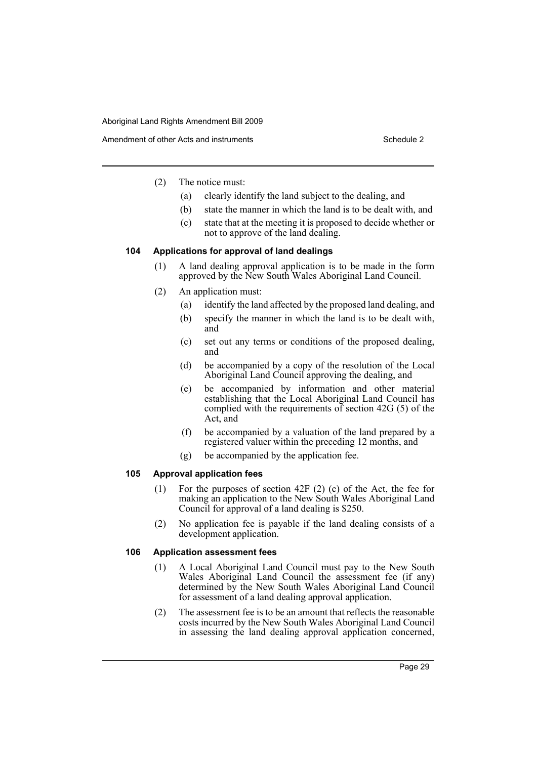- (2) The notice must:
	- (a) clearly identify the land subject to the dealing, and
	- (b) state the manner in which the land is to be dealt with, and
	- (c) state that at the meeting it is proposed to decide whether or not to approve of the land dealing.

## **104 Applications for approval of land dealings**

- (1) A land dealing approval application is to be made in the form approved by the New South Wales Aboriginal Land Council.
- (2) An application must:
	- (a) identify the land affected by the proposed land dealing, and
	- (b) specify the manner in which the land is to be dealt with, and
	- (c) set out any terms or conditions of the proposed dealing, and
	- (d) be accompanied by a copy of the resolution of the Local Aboriginal Land Council approving the dealing, and
	- (e) be accompanied by information and other material establishing that the Local Aboriginal Land Council has complied with the requirements of section 42G (5) of the Act, and
	- (f) be accompanied by a valuation of the land prepared by a registered valuer within the preceding 12 months, and
	- (g) be accompanied by the application fee.

#### **105 Approval application fees**

- (1) For the purposes of section 42F (2) (c) of the Act, the fee for making an application to the New South Wales Aboriginal Land Council for approval of a land dealing is \$250.
- (2) No application fee is payable if the land dealing consists of a development application.

#### **106 Application assessment fees**

- (1) A Local Aboriginal Land Council must pay to the New South Wales Aboriginal Land Council the assessment fee (if any) determined by the New South Wales Aboriginal Land Council for assessment of a land dealing approval application.
- (2) The assessment fee is to be an amount that reflects the reasonable costs incurred by the New South Wales Aboriginal Land Council in assessing the land dealing approval application concerned,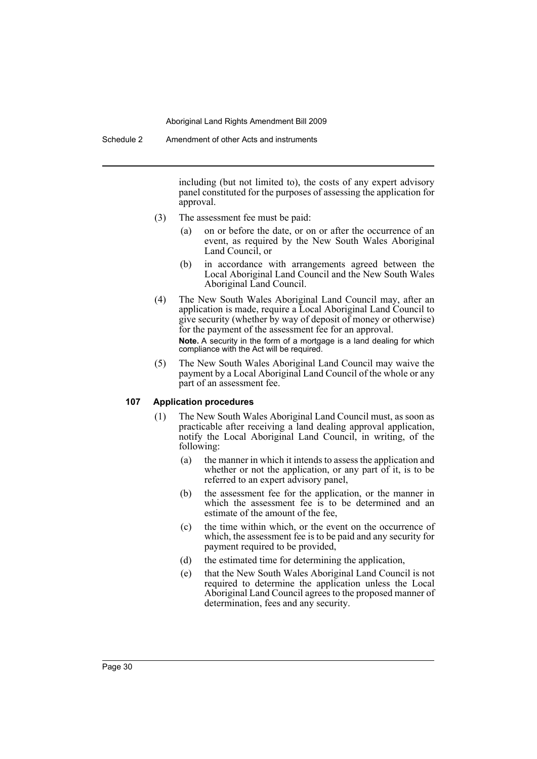including (but not limited to), the costs of any expert advisory panel constituted for the purposes of assessing the application for approval.

- (3) The assessment fee must be paid:
	- (a) on or before the date, or on or after the occurrence of an event, as required by the New South Wales Aboriginal Land Council, or
	- (b) in accordance with arrangements agreed between the Local Aboriginal Land Council and the New South Wales Aboriginal Land Council.
- (4) The New South Wales Aboriginal Land Council may, after an application is made, require a Local Aboriginal Land Council to give security (whether by way of deposit of money or otherwise) for the payment of the assessment fee for an approval. **Note.** A security in the form of a mortgage is a land dealing for which compliance with the Act will be required.
- (5) The New South Wales Aboriginal Land Council may waive the payment by a Local Aboriginal Land Council of the whole or any part of an assessment fee.

## **107 Application procedures**

- (1) The New South Wales Aboriginal Land Council must, as soon as practicable after receiving a land dealing approval application, notify the Local Aboriginal Land Council, in writing, of the following:
	- (a) the manner in which it intends to assess the application and whether or not the application, or any part of it, is to be referred to an expert advisory panel,
	- (b) the assessment fee for the application, or the manner in which the assessment fee is to be determined and an estimate of the amount of the fee,
	- (c) the time within which, or the event on the occurrence of which, the assessment fee is to be paid and any security for payment required to be provided,
	- (d) the estimated time for determining the application,
	- (e) that the New South Wales Aboriginal Land Council is not required to determine the application unless the Local Aboriginal Land Council agrees to the proposed manner of determination, fees and any security.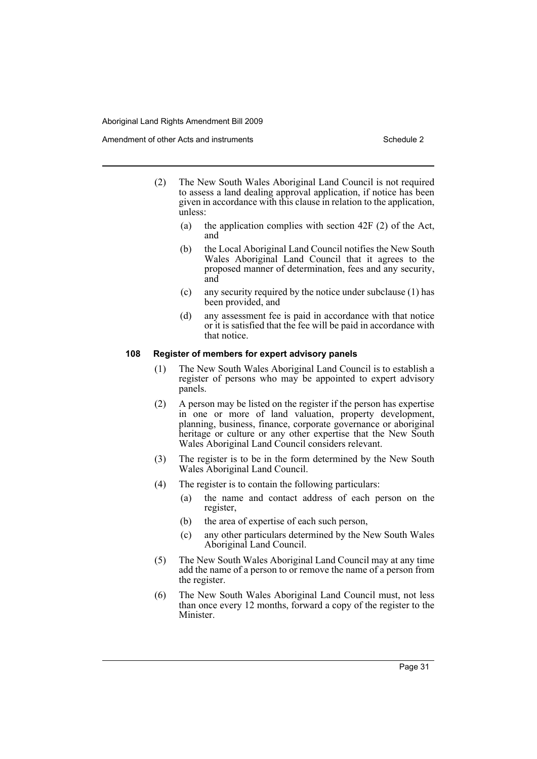- (2) The New South Wales Aboriginal Land Council is not required to assess a land dealing approval application, if notice has been given in accordance with this clause in relation to the application, unless:
	- (a) the application complies with section 42F (2) of the Act, and
	- (b) the Local Aboriginal Land Council notifies the New South Wales Aboriginal Land Council that it agrees to the proposed manner of determination, fees and any security, and
	- (c) any security required by the notice under subclause (1) has been provided, and
	- (d) any assessment fee is paid in accordance with that notice or it is satisfied that the fee will be paid in accordance with that notice.

#### **108 Register of members for expert advisory panels**

- (1) The New South Wales Aboriginal Land Council is to establish a register of persons who may be appointed to expert advisory panels.
- (2) A person may be listed on the register if the person has expertise in one or more of land valuation, property development, planning, business, finance, corporate governance or aboriginal heritage or culture or any other expertise that the New South Wales Aboriginal Land Council considers relevant.
- (3) The register is to be in the form determined by the New South Wales Aboriginal Land Council.
- (4) The register is to contain the following particulars:
	- (a) the name and contact address of each person on the register,
	- (b) the area of expertise of each such person,
	- (c) any other particulars determined by the New South Wales Aboriginal Land Council.
- (5) The New South Wales Aboriginal Land Council may at any time add the name of a person to or remove the name of a person from the register.
- (6) The New South Wales Aboriginal Land Council must, not less than once every 12 months, forward a copy of the register to the Minister.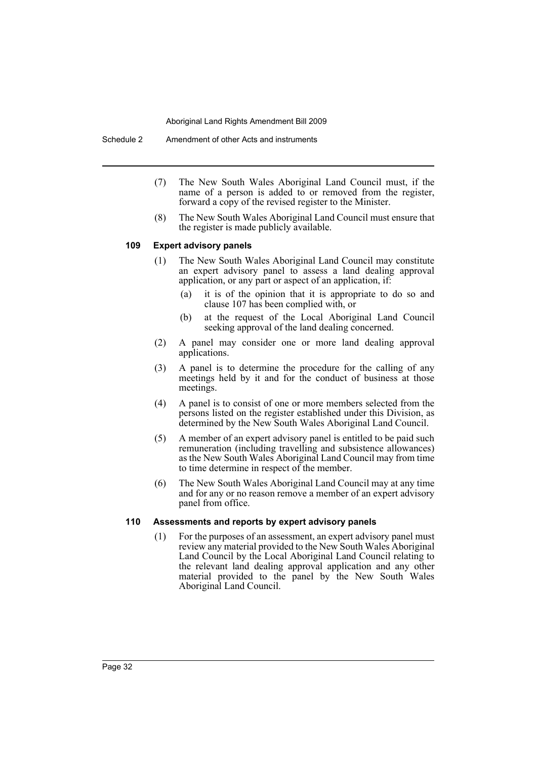- (7) The New South Wales Aboriginal Land Council must, if the name of a person is added to or removed from the register, forward a copy of the revised register to the Minister.
- (8) The New South Wales Aboriginal Land Council must ensure that the register is made publicly available.

#### **109 Expert advisory panels**

- (1) The New South Wales Aboriginal Land Council may constitute an expert advisory panel to assess a land dealing approval application, or any part or aspect of an application, if:
	- (a) it is of the opinion that it is appropriate to do so and clause 107 has been complied with, or
	- (b) at the request of the Local Aboriginal Land Council seeking approval of the land dealing concerned.
- (2) A panel may consider one or more land dealing approval applications.
- (3) A panel is to determine the procedure for the calling of any meetings held by it and for the conduct of business at those meetings.
- (4) A panel is to consist of one or more members selected from the persons listed on the register established under this Division, as determined by the New South Wales Aboriginal Land Council.
- (5) A member of an expert advisory panel is entitled to be paid such remuneration (including travelling and subsistence allowances) as the New South Wales Aboriginal Land Council may from time to time determine in respect of the member.
- (6) The New South Wales Aboriginal Land Council may at any time and for any or no reason remove a member of an expert advisory panel from office.

## **110 Assessments and reports by expert advisory panels**

(1) For the purposes of an assessment, an expert advisory panel must review any material provided to the New South Wales Aboriginal Land Council by the Local Aboriginal Land Council relating to the relevant land dealing approval application and any other material provided to the panel by the New South Wales Aboriginal Land Council.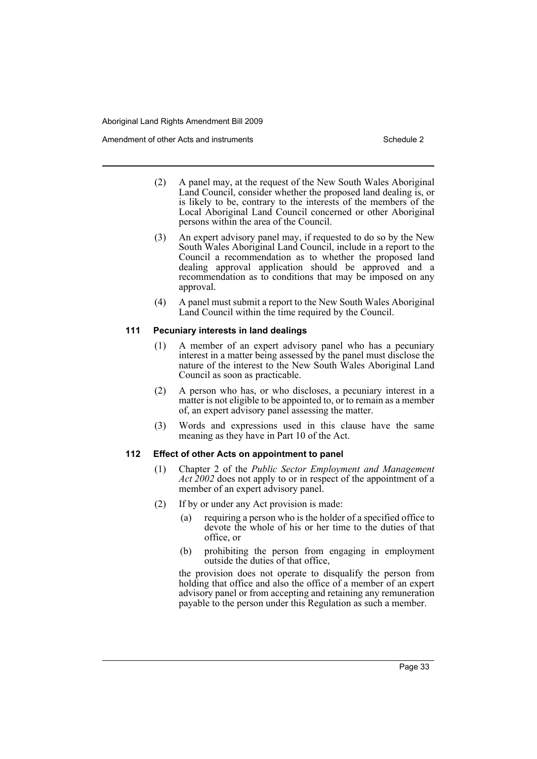- (2) A panel may, at the request of the New South Wales Aboriginal Land Council, consider whether the proposed land dealing is, or is likely to be, contrary to the interests of the members of the Local Aboriginal Land Council concerned or other Aboriginal persons within the area of the Council.
- (3) An expert advisory panel may, if requested to do so by the New South Wales Aboriginal Land Council, include in a report to the Council a recommendation as to whether the proposed land dealing approval application should be approved and a recommendation as to conditions that may be imposed on any approval.
- (4) A panel must submit a report to the New South Wales Aboriginal Land Council within the time required by the Council.

## **111 Pecuniary interests in land dealings**

- (1) A member of an expert advisory panel who has a pecuniary interest in a matter being assessed by the panel must disclose the nature of the interest to the New South Wales Aboriginal Land Council as soon as practicable.
- (2) A person who has, or who discloses, a pecuniary interest in a matter is not eligible to be appointed to, or to remain as a member of, an expert advisory panel assessing the matter.
- (3) Words and expressions used in this clause have the same meaning as they have in Part 10 of the Act.

#### **112 Effect of other Acts on appointment to panel**

- (1) Chapter 2 of the *Public Sector Employment and Management Act 2002* does not apply to or in respect of the appointment of a member of an expert advisory panel.
- (2) If by or under any Act provision is made:
	- (a) requiring a person who is the holder of a specified office to devote the whole of his or her time to the duties of that office, or
	- (b) prohibiting the person from engaging in employment outside the duties of that office,

the provision does not operate to disqualify the person from holding that office and also the office of a member of an expert advisory panel or from accepting and retaining any remuneration payable to the person under this Regulation as such a member.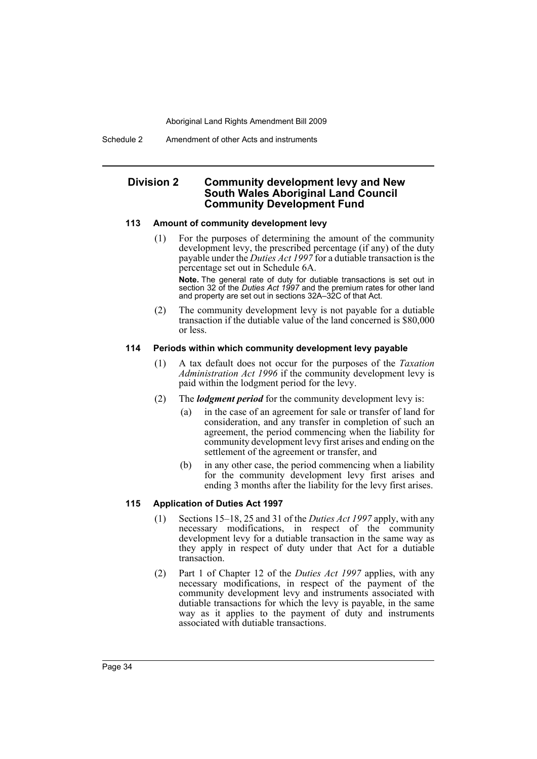Schedule 2 Amendment of other Acts and instruments

## **Division 2 Community development levy and New South Wales Aboriginal Land Council Community Development Fund**

## **113 Amount of community development levy**

(1) For the purposes of determining the amount of the community development levy, the prescribed percentage (if any) of the duty payable under the *Duties Act 1997* for a dutiable transaction is the percentage set out in Schedule 6A.

**Note.** The general rate of duty for dutiable transactions is set out in section 32 of the *Duties Act 1997* and the premium rates for other land and property are set out in sections 32A–32C of that Act.

(2) The community development levy is not payable for a dutiable transaction if the dutiable value of the land concerned is \$80,000 or less.

## **114 Periods within which community development levy payable**

- (1) A tax default does not occur for the purposes of the *Taxation Administration Act 1996* if the community development levy is paid within the lodgment period for the levy.
- (2) The *lodgment period* for the community development levy is:
	- (a) in the case of an agreement for sale or transfer of land for consideration, and any transfer in completion of such an agreement, the period commencing when the liability for community development levy first arises and ending on the settlement of the agreement or transfer, and
	- (b) in any other case, the period commencing when a liability for the community development levy first arises and ending 3 months after the liability for the levy first arises.

## **115 Application of Duties Act 1997**

- (1) Sections 15–18, 25 and 31 of the *Duties Act 1997* apply, with any necessary modifications, in respect of the community development levy for a dutiable transaction in the same way as they apply in respect of duty under that Act for a dutiable transaction.
- (2) Part 1 of Chapter 12 of the *Duties Act 1997* applies, with any necessary modifications, in respect of the payment of the community development levy and instruments associated with dutiable transactions for which the levy is payable, in the same way as it applies to the payment of duty and instruments associated with dutiable transactions.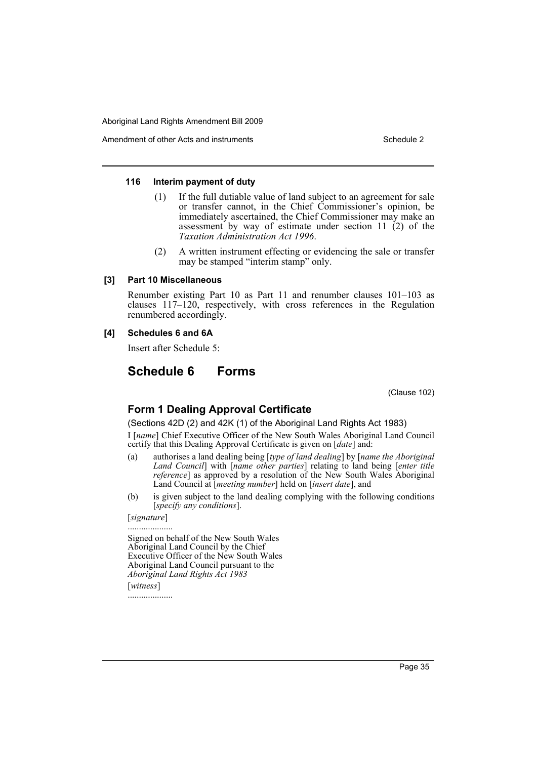#### **116 Interim payment of duty**

- (1) If the full dutiable value of land subject to an agreement for sale or transfer cannot, in the Chief Commissioner's opinion, be immediately ascertained, the Chief Commissioner may make an assessment by way of estimate under section 11  $(2)$  of the *Taxation Administration Act 1996*.
- (2) A written instrument effecting or evidencing the sale or transfer may be stamped "interim stamp" only.

### **[3] Part 10 Miscellaneous**

Renumber existing Part 10 as Part 11 and renumber clauses 101–103 as clauses 117–120, respectively, with cross references in the Regulation renumbered accordingly.

## **[4] Schedules 6 and 6A**

Insert after Schedule 5:

# **Schedule 6 Forms**

(Clause 102)

## **Form 1 Dealing Approval Certificate**

(Sections 42D (2) and 42K (1) of the Aboriginal Land Rights Act 1983) I [*name*] Chief Executive Officer of the New South Wales Aboriginal Land Council certify that this Dealing Approval Certificate is given on [*date*] and:

- (a) authorises a land dealing being [*type of land dealing*] by [*name the Aboriginal Land Council*] with [*name other parties*] relating to land being [*enter title reference*] as approved by a resolution of the New South Wales Aboriginal Land Council at [*meeting number*] held on [*insert date*], and
- (b) is given subject to the land dealing complying with the following conditions [*specify any conditions*].

[*signature*] ....................

Signed on behalf of the New South Wales Aboriginal Land Council by the Chief Executive Officer of the New South Wales Aboriginal Land Council pursuant to the *Aboriginal Land Rights Act 1983* [*witness*] ....................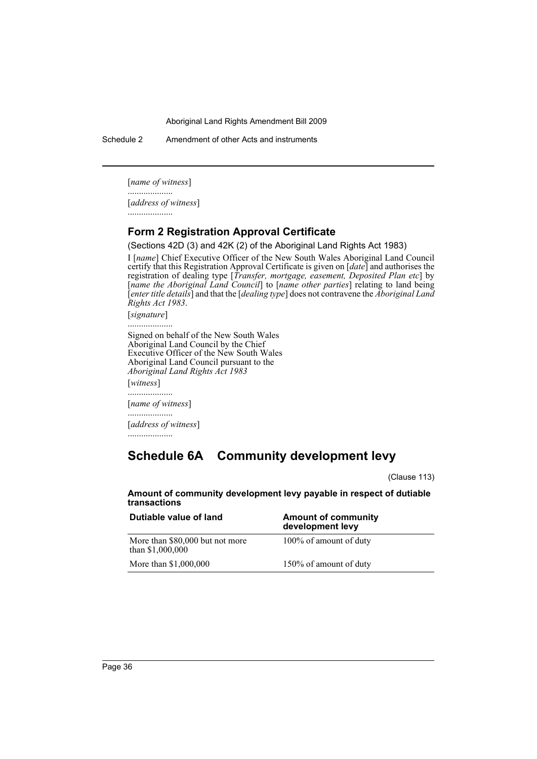Schedule 2 Amendment of other Acts and instruments

[*name of witness*]

.................... [*address of witness*]

....................

## **Form 2 Registration Approval Certificate**

(Sections 42D (3) and 42K (2) of the Aboriginal Land Rights Act 1983)

I [*name*] Chief Executive Officer of the New South Wales Aboriginal Land Council certify that this Registration Approval Certificate is given on [*date*] and authorises the registration of dealing type [*Transfer, mortgage, easement, Deposited Plan etc*] by [*name the Aboriginal Land Council*] to [*name other parties*] relating to land being [*enter title details*] and that the [*dealing type*] does not contravene the *Aboriginal Land Rights Act 1983*.

[*signature*]

.................... Signed on behalf of the New South Wales Aboriginal Land Council by the Chief Executive Officer of the New South Wales Aboriginal Land Council pursuant to the *Aboriginal Land Rights Act 1983* [*witness*] ....................

[*name of witness*]

[*address of witness*]

....................

....................

# **Schedule 6A Community development levy**

(Clause 113)

**Amount of community development levy payable in respect of dutiable transactions**

| Dutiable value of land                              | <b>Amount of community</b><br>development levy |
|-----------------------------------------------------|------------------------------------------------|
| More than \$80,000 but not more<br>than \$1,000,000 | 100% of amount of duty                         |
| More than \$1,000,000                               | 150% of amount of duty                         |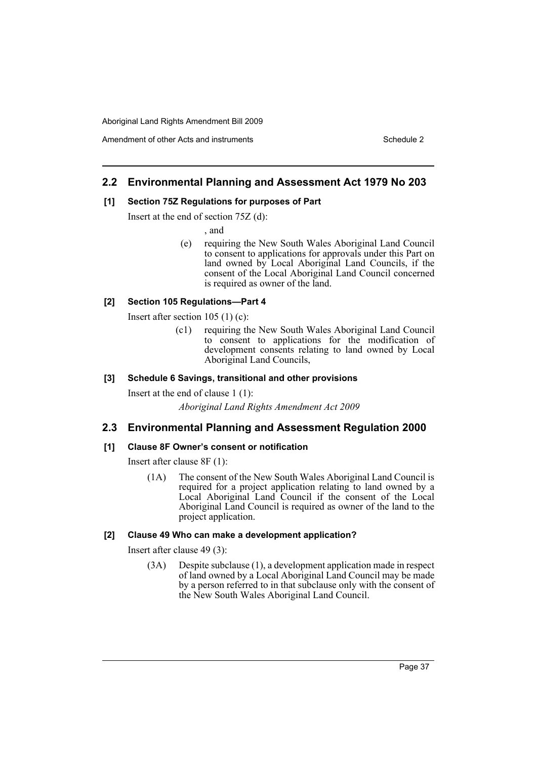## **2.2 Environmental Planning and Assessment Act 1979 No 203**

## **[1] Section 75Z Regulations for purposes of Part**

Insert at the end of section 75Z (d):

, and

(e) requiring the New South Wales Aboriginal Land Council to consent to applications for approvals under this Part on land owned by Local Aboriginal Land Councils, if the consent of the Local Aboriginal Land Council concerned is required as owner of the land.

## **[2] Section 105 Regulations—Part 4**

Insert after section 105 (1) (c):

(c1) requiring the New South Wales Aboriginal Land Council to consent to applications for the modification of development consents relating to land owned by Local Aboriginal Land Councils,

## **[3] Schedule 6 Savings, transitional and other provisions**

Insert at the end of clause 1 (1): *Aboriginal Land Rights Amendment Act 2009*

## **2.3 Environmental Planning and Assessment Regulation 2000**

## **[1] Clause 8F Owner's consent or notification**

Insert after clause 8F (1):

(1A) The consent of the New South Wales Aboriginal Land Council is required for a project application relating to land owned by a Local Aboriginal Land Council if the consent of the Local Aboriginal Land Council is required as owner of the land to the project application.

## **[2] Clause 49 Who can make a development application?**

Insert after clause 49 (3):

(3A) Despite subclause (1), a development application made in respect of land owned by a Local Aboriginal Land Council may be made by a person referred to in that subclause only with the consent of the New South Wales Aboriginal Land Council.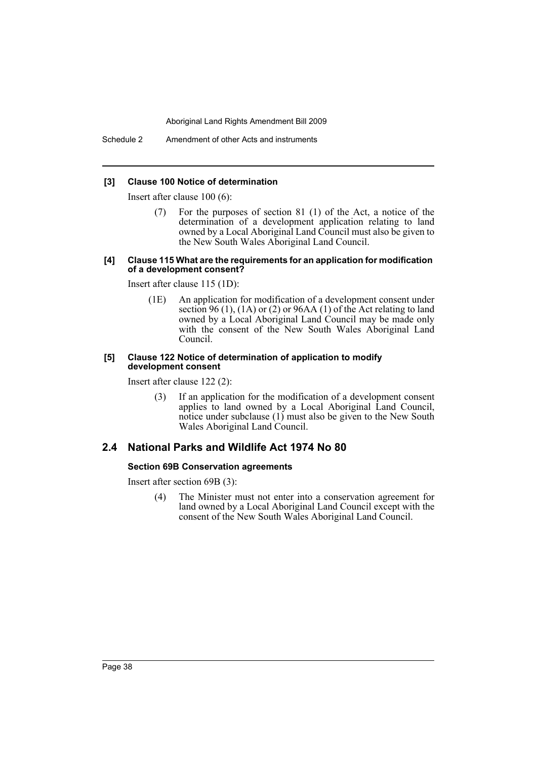Schedule 2 Amendment of other Acts and instruments

#### **[3] Clause 100 Notice of determination**

Insert after clause 100 (6):

(7) For the purposes of section 81 (1) of the Act, a notice of the determination of a development application relating to land owned by a Local Aboriginal Land Council must also be given to the New South Wales Aboriginal Land Council.

#### **[4] Clause 115 What are the requirements for an application for modification of a development consent?**

Insert after clause 115 (1D):

(1E) An application for modification of a development consent under section 96 (1), (1A) or (2) or 96AA (1) of the Act relating to land owned by a Local Aboriginal Land Council may be made only with the consent of the New South Wales Aboriginal Land Council.

#### **[5] Clause 122 Notice of determination of application to modify development consent**

Insert after clause 122 (2):

(3) If an application for the modification of a development consent applies to land owned by a Local Aboriginal Land Council, notice under subclause (1) must also be given to the New South Wales Aboriginal Land Council.

## **2.4 National Parks and Wildlife Act 1974 No 80**

## **Section 69B Conservation agreements**

Insert after section 69B (3):

(4) The Minister must not enter into a conservation agreement for land owned by a Local Aboriginal Land Council except with the consent of the New South Wales Aboriginal Land Council.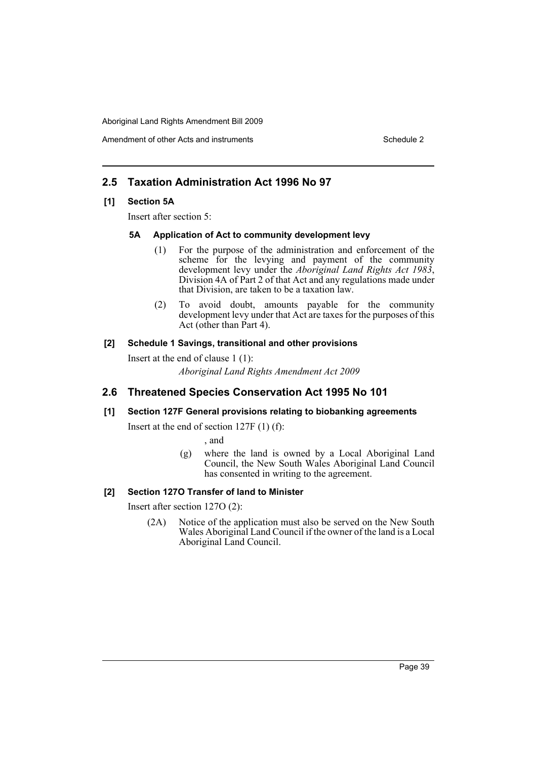Amendment of other Acts and instruments Schedule 2

## **2.5 Taxation Administration Act 1996 No 97**

## **[1] Section 5A**

Insert after section 5:

## **5A Application of Act to community development levy**

- (1) For the purpose of the administration and enforcement of the scheme for the levying and payment of the community development levy under the *Aboriginal Land Rights Act 1983*, Division 4A of Part 2 of that Act and any regulations made under that Division, are taken to be a taxation law.
- (2) To avoid doubt, amounts payable for the community development levy under that Act are taxes for the purposes of this Act (other than Part 4).

## **[2] Schedule 1 Savings, transitional and other provisions**

Insert at the end of clause 1 (1):

*Aboriginal Land Rights Amendment Act 2009*

## **2.6 Threatened Species Conservation Act 1995 No 101**

## **[1] Section 127F General provisions relating to biobanking agreements**

Insert at the end of section 127F (1) (f):

, and

(g) where the land is owned by a Local Aboriginal Land Council, the New South Wales Aboriginal Land Council has consented in writing to the agreement.

## **[2] Section 127O Transfer of land to Minister**

Insert after section 127O (2):

(2A) Notice of the application must also be served on the New South Wales Aboriginal Land Council if the owner of the land is a Local Aboriginal Land Council.